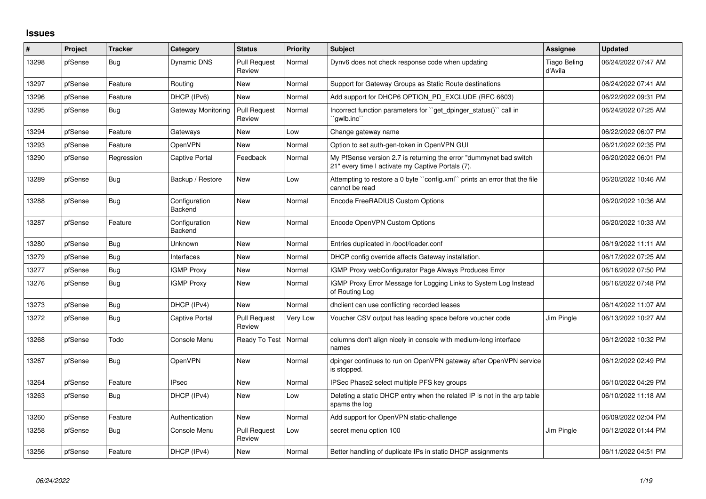## **Issues**

| $\sharp$ | Project | <b>Tracker</b> | Category                 | <b>Status</b>                 | <b>Priority</b> | <b>Subject</b>                                                                                                          | <b>Assignee</b>                | <b>Updated</b>      |
|----------|---------|----------------|--------------------------|-------------------------------|-----------------|-------------------------------------------------------------------------------------------------------------------------|--------------------------------|---------------------|
| 13298    | pfSense | Bug            | Dynamic DNS              | <b>Pull Request</b><br>Review | Normal          | Dynv6 does not check response code when updating                                                                        | <b>Tiago Beling</b><br>d'Avila | 06/24/2022 07:47 AM |
| 13297    | pfSense | Feature        | Routing                  | New                           | Normal          | Support for Gateway Groups as Static Route destinations                                                                 |                                | 06/24/2022 07:41 AM |
| 13296    | pfSense | Feature        | DHCP (IPv6)              | <b>New</b>                    | Normal          | Add support for DHCP6 OPTION PD EXCLUDE (RFC 6603)                                                                      |                                | 06/22/2022 09:31 PM |
| 13295    | pfSense | Bug            | Gateway Monitoring       | <b>Pull Request</b><br>Review | Normal          | Incorrect function parameters for "get dpinger status()" call in<br>`qwlb.inc``                                         |                                | 06/24/2022 07:25 AM |
| 13294    | pfSense | Feature        | Gateways                 | <b>New</b>                    | Low             | Change gateway name                                                                                                     |                                | 06/22/2022 06:07 PM |
| 13293    | pfSense | Feature        | OpenVPN                  | <b>New</b>                    | Normal          | Option to set auth-gen-token in OpenVPN GUI                                                                             |                                | 06/21/2022 02:35 PM |
| 13290    | pfSense | Regression     | Captive Portal           | Feedback                      | Normal          | My PfSense version 2.7 is returning the error "dummynet bad switch<br>21" every time I activate my Captive Portals (7). |                                | 06/20/2022 06:01 PM |
| 13289    | pfSense | <b>Bug</b>     | Backup / Restore         | New                           | Low             | Attempting to restore a 0 byte "config.xml" prints an error that the file<br>cannot be read                             |                                | 06/20/2022 10:46 AM |
| 13288    | pfSense | <b>Bug</b>     | Configuration<br>Backend | <b>New</b>                    | Normal          | Encode FreeRADIUS Custom Options                                                                                        |                                | 06/20/2022 10:36 AM |
| 13287    | pfSense | Feature        | Configuration<br>Backend | New                           | Normal          | Encode OpenVPN Custom Options                                                                                           |                                | 06/20/2022 10:33 AM |
| 13280    | pfSense | Bug            | Unknown                  | New                           | Normal          | Entries duplicated in /boot/loader.conf                                                                                 |                                | 06/19/2022 11:11 AM |
| 13279    | pfSense | <b>Bug</b>     | Interfaces               | New                           | Normal          | DHCP config override affects Gateway installation.                                                                      |                                | 06/17/2022 07:25 AM |
| 13277    | pfSense | Bug            | <b>IGMP Proxy</b>        | New                           | Normal          | IGMP Proxy webConfigurator Page Always Produces Error                                                                   |                                | 06/16/2022 07:50 PM |
| 13276    | pfSense | Bug            | <b>IGMP Proxy</b>        | <b>New</b>                    | Normal          | IGMP Proxy Error Message for Logging Links to System Log Instead<br>of Routing Log                                      |                                | 06/16/2022 07:48 PM |
| 13273    | pfSense | Bug            | DHCP (IPv4)              | <b>New</b>                    | Normal          | dholient can use conflicting recorded leases                                                                            |                                | 06/14/2022 11:07 AM |
| 13272    | pfSense | <b>Bug</b>     | Captive Portal           | <b>Pull Request</b><br>Review | Very Low        | Voucher CSV output has leading space before voucher code                                                                | Jim Pingle                     | 06/13/2022 10:27 AM |
| 13268    | pfSense | Todo           | Console Menu             | Ready To Test   Normal        |                 | columns don't align nicely in console with medium-long interface<br>names                                               |                                | 06/12/2022 10:32 PM |
| 13267    | pfSense | <b>Bug</b>     | OpenVPN                  | <b>New</b>                    | Normal          | dpinger continues to run on OpenVPN gateway after OpenVPN service<br>is stopped.                                        |                                | 06/12/2022 02:49 PM |
| 13264    | pfSense | Feature        | <b>IPsec</b>             | New                           | Normal          | IPSec Phase2 select multiple PFS key groups                                                                             |                                | 06/10/2022 04:29 PM |
| 13263    | pfSense | <b>Bug</b>     | DHCP (IPv4)              | New                           | Low             | Deleting a static DHCP entry when the related IP is not in the arp table<br>spams the log                               |                                | 06/10/2022 11:18 AM |
| 13260    | pfSense | Feature        | Authentication           | <b>New</b>                    | Normal          | Add support for OpenVPN static-challenge                                                                                |                                | 06/09/2022 02:04 PM |
| 13258    | pfSense | <b>Bug</b>     | Console Menu             | <b>Pull Request</b><br>Review | Low             | secret menu option 100                                                                                                  | Jim Pingle                     | 06/12/2022 01:44 PM |
| 13256    | pfSense | Feature        | DHCP (IPv4)              | New                           | Normal          | Better handling of duplicate IPs in static DHCP assignments                                                             |                                | 06/11/2022 04:51 PM |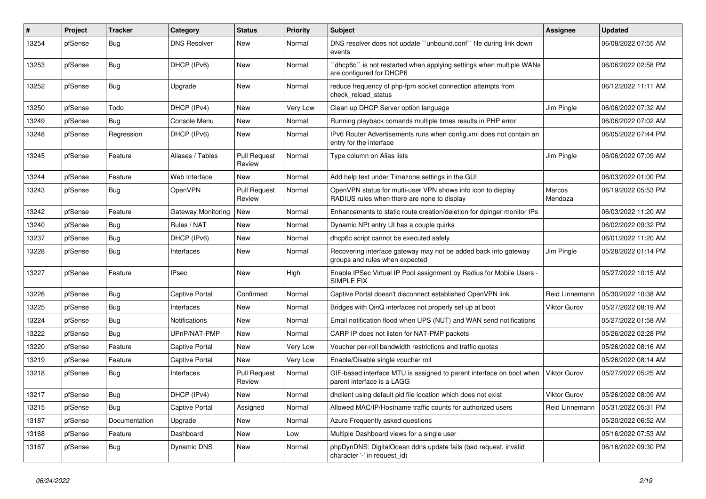| #     | Project | <b>Tracker</b> | Category              | <b>Status</b>                 | <b>Priority</b> | <b>Subject</b>                                                                                              | <b>Assignee</b>     | <b>Updated</b>      |
|-------|---------|----------------|-----------------------|-------------------------------|-----------------|-------------------------------------------------------------------------------------------------------------|---------------------|---------------------|
| 13254 | pfSense | Bug            | <b>DNS Resolver</b>   | New                           | Normal          | DNS resolver does not update "unbound.conf" file during link down<br>events                                 |                     | 06/08/2022 07:55 AM |
| 13253 | pfSense | <b>Bug</b>     | DHCP (IPv6)           | <b>New</b>                    | Normal          | dhcp6c" is not restarted when applying settings when multiple WANs<br>are configured for DHCP6              |                     | 06/06/2022 02:58 PM |
| 13252 | pfSense | Bug            | Upgrade               | <b>New</b>                    | Normal          | reduce frequency of php-fpm socket connection attempts from<br>check reload status                          |                     | 06/12/2022 11:11 AM |
| 13250 | pfSense | Todo           | DHCP (IPv4)           | <b>New</b>                    | Very Low        | Clean up DHCP Server option language                                                                        | Jim Pingle          | 06/06/2022 07:32 AM |
| 13249 | pfSense | <b>Bug</b>     | Console Menu          | New                           | Normal          | Running playback comands multiple times results in PHP error                                                |                     | 06/06/2022 07:02 AM |
| 13248 | pfSense | Regression     | DHCP (IPv6)           | <b>New</b>                    | Normal          | IPv6 Router Advertisements runs when config.xml does not contain an<br>entry for the interface              |                     | 06/05/2022 07:44 PM |
| 13245 | pfSense | Feature        | Aliases / Tables      | <b>Pull Request</b><br>Review | Normal          | Type column on Alias lists                                                                                  | Jim Pingle          | 06/06/2022 07:09 AM |
| 13244 | pfSense | Feature        | Web Interface         | <b>New</b>                    | Normal          | Add help text under Timezone settings in the GUI                                                            |                     | 06/03/2022 01:00 PM |
| 13243 | pfSense | <b>Bug</b>     | OpenVPN               | <b>Pull Request</b><br>Review | Normal          | OpenVPN status for multi-user VPN shows info icon to display<br>RADIUS rules when there are none to display | Marcos<br>Mendoza   | 06/19/2022 05:53 PM |
| 13242 | pfSense | Feature        | Gateway Monitoring    | New                           | Normal          | Enhancements to static route creation/deletion for dpinger monitor IPs                                      |                     | 06/03/2022 11:20 AM |
| 13240 | pfSense | <b>Bug</b>     | Rules / NAT           | <b>New</b>                    | Normal          | Dynamic NPt entry UI has a couple quirks                                                                    |                     | 06/02/2022 09:32 PM |
| 13237 | pfSense | <b>Bug</b>     | DHCP (IPv6)           | New                           | Normal          | dhcp6c script cannot be executed safely                                                                     |                     | 06/01/2022 11:20 AM |
| 13228 | pfSense | <b>Bug</b>     | Interfaces            | New                           | Normal          | Recovering interface gateway may not be added back into gateway<br>groups and rules when expected           | Jim Pingle          | 05/28/2022 01:14 PM |
| 13227 | pfSense | Feature        | <b>IPsec</b>          | New                           | High            | Enable IPSec Virtual IP Pool assignment by Radius for Mobile Users -<br>SIMPLE FIX                          |                     | 05/27/2022 10:15 AM |
| 13226 | pfSense | <b>Bug</b>     | Captive Portal        | Confirmed                     | Normal          | Captive Portal doesn't disconnect established OpenVPN link                                                  | Reid Linnemann      | 05/30/2022 10:38 AM |
| 13225 | pfSense | <b>Bug</b>     | Interfaces            | <b>New</b>                    | Normal          | Bridges with QinQ interfaces not properly set up at boot                                                    | <b>Viktor Gurov</b> | 05/27/2022 08:19 AM |
| 13224 | pfSense | Bug            | Notifications         | <b>New</b>                    | Normal          | Email notification flood when UPS (NUT) and WAN send notifications                                          |                     | 05/27/2022 01:58 AM |
| 13222 | pfSense | Bug            | UPnP/NAT-PMP          | New                           | Normal          | CARP IP does not listen for NAT-PMP packets                                                                 |                     | 05/26/2022 02:28 PM |
| 13220 | pfSense | Feature        | Captive Portal        | <b>New</b>                    | Very Low        | Voucher per-roll bandwidth restrictions and traffic quotas                                                  |                     | 05/26/2022 08:16 AM |
| 13219 | pfSense | Feature        | Captive Portal        | New                           | Very Low        | Enable/Disable single voucher roll                                                                          |                     | 05/26/2022 08:14 AM |
| 13218 | pfSense | <b>Bug</b>     | Interfaces            | <b>Pull Request</b><br>Review | Normal          | GIF-based interface MTU is assigned to parent interface on boot when<br>parent interface is a LAGG          | <b>Viktor Gurov</b> | 05/27/2022 05:25 AM |
| 13217 | pfSense | Bug            | DHCP (IPv4)           | New                           | Normal          | dhelient using default pid file location which does not exist                                               | <b>Viktor Gurov</b> | 05/26/2022 08:09 AM |
| 13215 | pfSense | <b>Bug</b>     | <b>Captive Portal</b> | Assigned                      | Normal          | Allowed MAC/IP/Hostname traffic counts for authorized users                                                 | Reid Linnemann      | 05/31/2022 05:31 PM |
| 13187 | pfSense | Documentation  | Upgrade               | New                           | Normal          | Azure Frequently asked questions                                                                            |                     | 05/20/2022 06:52 AM |
| 13168 | pfSense | Feature        | Dashboard             | New                           | Low             | Multiple Dashboard views for a single user                                                                  |                     | 05/16/2022 07:53 AM |
| 13167 | pfSense | <b>Bug</b>     | Dynamic DNS           | <b>New</b>                    | Normal          | phpDynDNS: DigitalOcean ddns update fails (bad request, invalid<br>character '-' in request id)             |                     | 06/16/2022 09:30 PM |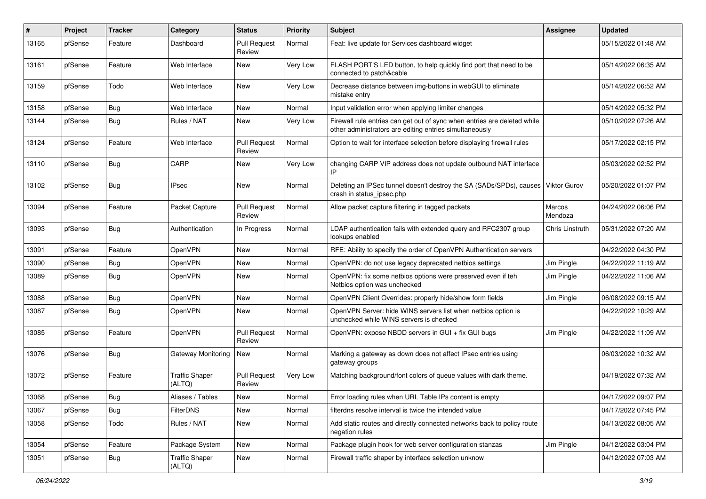| #     | Project | <b>Tracker</b> | Category                        | <b>Status</b>                 | Priority | <b>Subject</b>                                                                                                                      | <b>Assignee</b>   | <b>Updated</b>      |
|-------|---------|----------------|---------------------------------|-------------------------------|----------|-------------------------------------------------------------------------------------------------------------------------------------|-------------------|---------------------|
| 13165 | pfSense | Feature        | Dashboard                       | <b>Pull Request</b><br>Review | Normal   | Feat: live update for Services dashboard widget                                                                                     |                   | 05/15/2022 01:48 AM |
| 13161 | pfSense | Feature        | Web Interface                   | New                           | Very Low | FLASH PORT'S LED button, to help quickly find port that need to be<br>connected to patch&cable                                      |                   | 05/14/2022 06:35 AM |
| 13159 | pfSense | Todo           | Web Interface                   | New                           | Very Low | Decrease distance between img-buttons in webGUI to eliminate<br>mistake entry                                                       |                   | 05/14/2022 06:52 AM |
| 13158 | pfSense | <b>Bug</b>     | Web Interface                   | New                           | Normal   | Input validation error when applying limiter changes                                                                                |                   | 05/14/2022 05:32 PM |
| 13144 | pfSense | <b>Bug</b>     | Rules / NAT                     | New                           | Very Low | Firewall rule entries can get out of sync when entries are deleted while<br>other administrators are editing entries simultaneously |                   | 05/10/2022 07:26 AM |
| 13124 | pfSense | Feature        | Web Interface                   | <b>Pull Request</b><br>Review | Normal   | Option to wait for interface selection before displaying firewall rules                                                             |                   | 05/17/2022 02:15 PM |
| 13110 | pfSense | Bug            | CARP                            | New                           | Very Low | changing CARP VIP address does not update outbound NAT interface<br>IP                                                              |                   | 05/03/2022 02:52 PM |
| 13102 | pfSense | <b>Bug</b>     | <b>IPsec</b>                    | New                           | Normal   | Deleting an IPSec tunnel doesn't destroy the SA (SADs/SPDs), causes<br>crash in status_ipsec.php                                    | Viktor Gurov      | 05/20/2022 01:07 PM |
| 13094 | pfSense | Feature        | Packet Capture                  | <b>Pull Request</b><br>Review | Normal   | Allow packet capture filtering in tagged packets                                                                                    | Marcos<br>Mendoza | 04/24/2022 06:06 PM |
| 13093 | pfSense | Bug            | Authentication                  | In Progress                   | Normal   | LDAP authentication fails with extended query and RFC2307 group<br>lookups enabled                                                  | Chris Linstruth   | 05/31/2022 07:20 AM |
| 13091 | pfSense | Feature        | OpenVPN                         | New                           | Normal   | RFE: Ability to specify the order of OpenVPN Authentication servers                                                                 |                   | 04/22/2022 04:30 PM |
| 13090 | pfSense | <b>Bug</b>     | OpenVPN                         | New                           | Normal   | OpenVPN: do not use legacy deprecated netbios settings                                                                              | Jim Pingle        | 04/22/2022 11:19 AM |
| 13089 | pfSense | Bug            | OpenVPN                         | New                           | Normal   | OpenVPN: fix some netbios options were preserved even if teh<br>Netbios option was unchecked                                        | Jim Pingle        | 04/22/2022 11:06 AM |
| 13088 | pfSense | Bug            | OpenVPN                         | <b>New</b>                    | Normal   | OpenVPN Client Overrides: properly hide/show form fields                                                                            | Jim Pingle        | 06/08/2022 09:15 AM |
| 13087 | pfSense | Bug            | OpenVPN                         | New                           | Normal   | OpenVPN Server: hide WINS servers list when netbios option is<br>unchecked while WINS servers is checked                            |                   | 04/22/2022 10:29 AM |
| 13085 | pfSense | Feature        | OpenVPN                         | <b>Pull Request</b><br>Review | Normal   | OpenVPN: expose NBDD servers in GUI + fix GUI bugs                                                                                  | Jim Pingle        | 04/22/2022 11:09 AM |
| 13076 | pfSense | Bug            | Gateway Monitoring              | New                           | Normal   | Marking a gateway as down does not affect IPsec entries using<br>gateway groups                                                     |                   | 06/03/2022 10:32 AM |
| 13072 | pfSense | Feature        | <b>Traffic Shaper</b><br>(ALTQ) | <b>Pull Request</b><br>Review | Very Low | Matching background/font colors of queue values with dark theme.                                                                    |                   | 04/19/2022 07:32 AM |
| 13068 | pfSense | Bug            | Aliases / Tables                | New                           | Normal   | Error loading rules when URL Table IPs content is empty                                                                             |                   | 04/17/2022 09:07 PM |
| 13067 | pfSense | <b>Bug</b>     | <b>FilterDNS</b>                | New                           | Normal   | filterdns resolve interval is twice the intended value                                                                              |                   | 04/17/2022 07:45 PM |
| 13058 | pfSense | Todo           | Rules / NAT                     | New                           | Normal   | Add static routes and directly connected networks back to policy route<br>negation rules                                            |                   | 04/13/2022 08:05 AM |
| 13054 | pfSense | Feature        | Package System                  | New                           | Normal   | Package plugin hook for web server configuration stanzas                                                                            | Jim Pingle        | 04/12/2022 03:04 PM |
| 13051 | pfSense | Bug            | <b>Traffic Shaper</b><br>(ALTQ) | New                           | Normal   | Firewall traffic shaper by interface selection unknow                                                                               |                   | 04/12/2022 07:03 AM |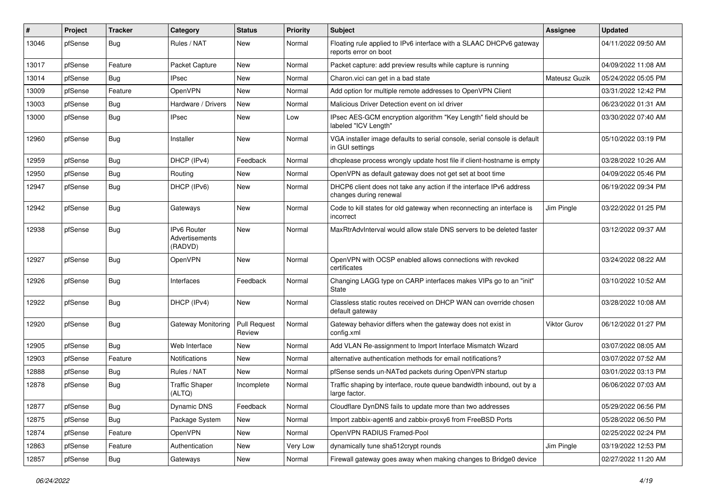| #     | Project | <b>Tracker</b> | Category                                        | <b>Status</b>                 | <b>Priority</b> | <b>Subject</b>                                                                                | <b>Assignee</b>     | <b>Updated</b>      |
|-------|---------|----------------|-------------------------------------------------|-------------------------------|-----------------|-----------------------------------------------------------------------------------------------|---------------------|---------------------|
| 13046 | pfSense | <b>Bug</b>     | Rules / NAT                                     | New                           | Normal          | Floating rule applied to IPv6 interface with a SLAAC DHCPv6 gateway<br>reports error on boot  |                     | 04/11/2022 09:50 AM |
| 13017 | pfSense | Feature        | Packet Capture                                  | New                           | Normal          | Packet capture: add preview results while capture is running                                  |                     | 04/09/2022 11:08 AM |
| 13014 | pfSense | Bug            | <b>IPsec</b>                                    | New                           | Normal          | Charon.vici can get in a bad state                                                            | Mateusz Guzik       | 05/24/2022 05:05 PM |
| 13009 | pfSense | Feature        | OpenVPN                                         | <b>New</b>                    | Normal          | Add option for multiple remote addresses to OpenVPN Client                                    |                     | 03/31/2022 12:42 PM |
| 13003 | pfSense | <b>Bug</b>     | Hardware / Drivers                              | New                           | Normal          | Malicious Driver Detection event on ixl driver                                                |                     | 06/23/2022 01:31 AM |
| 13000 | pfSense | <b>Bug</b>     | IPsec                                           | <b>New</b>                    | Low             | IPsec AES-GCM encryption algorithm "Key Length" field should be<br>labeled "ICV Length"       |                     | 03/30/2022 07:40 AM |
| 12960 | pfSense | Bug            | Installer                                       | <b>New</b>                    | Normal          | VGA installer image defaults to serial console, serial console is default<br>in GUI settings  |                     | 05/10/2022 03:19 PM |
| 12959 | pfSense | <b>Bug</b>     | DHCP (IPv4)                                     | Feedback                      | Normal          | dhoplease process wrongly update host file if client-hostname is empty                        |                     | 03/28/2022 10:26 AM |
| 12950 | pfSense | <b>Bug</b>     | Routing                                         | New                           | Normal          | OpenVPN as default gateway does not get set at boot time                                      |                     | 04/09/2022 05:46 PM |
| 12947 | pfSense | Bug            | DHCP (IPv6)                                     | <b>New</b>                    | Normal          | DHCP6 client does not take any action if the interface IPv6 address<br>changes during renewal |                     | 06/19/2022 09:34 PM |
| 12942 | pfSense | Bug            | Gateways                                        | <b>New</b>                    | Normal          | Code to kill states for old gateway when reconnecting an interface is<br>incorrect            | Jim Pingle          | 03/22/2022 01:25 PM |
| 12938 | pfSense | Bug            | <b>IPv6 Router</b><br>Advertisements<br>(RADVD) | <b>New</b>                    | Normal          | MaxRtrAdvInterval would allow stale DNS servers to be deleted faster                          |                     | 03/12/2022 09:37 AM |
| 12927 | pfSense | Bug            | OpenVPN                                         | <b>New</b>                    | Normal          | OpenVPN with OCSP enabled allows connections with revoked<br>certificates                     |                     | 03/24/2022 08:22 AM |
| 12926 | pfSense | Bug            | Interfaces                                      | Feedback                      | Normal          | Changing LAGG type on CARP interfaces makes VIPs go to an "init"<br>State                     |                     | 03/10/2022 10:52 AM |
| 12922 | pfSense | Bug            | DHCP (IPv4)                                     | <b>New</b>                    | Normal          | Classless static routes received on DHCP WAN can override chosen<br>default gateway           |                     | 03/28/2022 10:08 AM |
| 12920 | pfSense | Bug            | Gateway Monitoring                              | <b>Pull Request</b><br>Review | Normal          | Gateway behavior differs when the gateway does not exist in<br>config.xml                     | <b>Viktor Gurov</b> | 06/12/2022 01:27 PM |
| 12905 | pfSense | Bug            | Web Interface                                   | <b>New</b>                    | Normal          | Add VLAN Re-assignment to Import Interface Mismatch Wizard                                    |                     | 03/07/2022 08:05 AM |
| 12903 | pfSense | Feature        | Notifications                                   | <b>New</b>                    | Normal          | alternative authentication methods for email notifications?                                   |                     | 03/07/2022 07:52 AM |
| 12888 | pfSense | Bug            | Rules / NAT                                     | New                           | Normal          | pfSense sends un-NATed packets during OpenVPN startup                                         |                     | 03/01/2022 03:13 PM |
| 12878 | pfSense | <b>Bug</b>     | <b>Traffic Shaper</b><br>(ALTQ)                 | Incomplete                    | Normal          | Traffic shaping by interface, route queue bandwidth inbound, out by a<br>large factor.        |                     | 06/06/2022 07:03 AM |
| 12877 | pfSense | <b>Bug</b>     | Dynamic DNS                                     | Feedback                      | Normal          | Cloudflare DynDNS fails to update more than two addresses                                     |                     | 05/29/2022 06:56 PM |
| 12875 | pfSense | <b>Bug</b>     | Package System                                  | New                           | Normal          | Import zabbix-agent6 and zabbix-proxy6 from FreeBSD Ports                                     |                     | 05/28/2022 06:50 PM |
| 12874 | pfSense | Feature        | OpenVPN                                         | New                           | Normal          | OpenVPN RADIUS Framed-Pool                                                                    |                     | 02/25/2022 02:24 PM |
| 12863 | pfSense | Feature        | Authentication                                  | New                           | Very Low        | dynamically tune sha512crypt rounds                                                           | Jim Pingle          | 03/19/2022 12:53 PM |
| 12857 | pfSense | <b>Bug</b>     | Gateways                                        | New                           | Normal          | Firewall gateway goes away when making changes to Bridge0 device                              |                     | 02/27/2022 11:20 AM |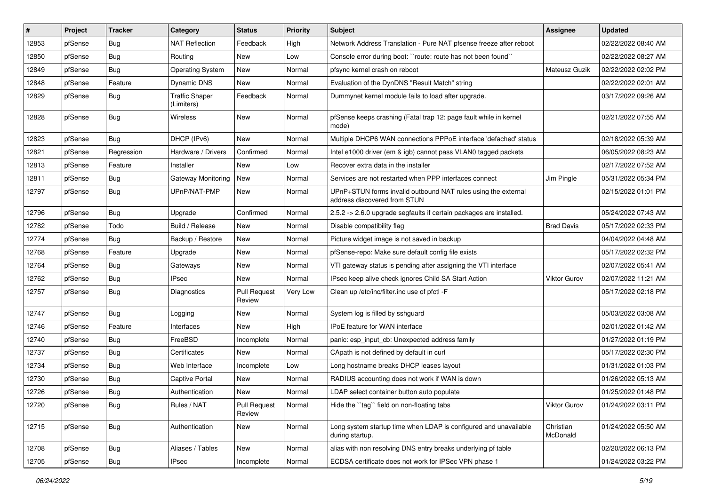| #     | Project | <b>Tracker</b> | Category                            | <b>Status</b>                 | <b>Priority</b> | <b>Subject</b>                                                                                | <b>Assignee</b>       | <b>Updated</b>      |
|-------|---------|----------------|-------------------------------------|-------------------------------|-----------------|-----------------------------------------------------------------------------------------------|-----------------------|---------------------|
| 12853 | pfSense | <b>Bug</b>     | NAT Reflection                      | Feedback                      | High            | Network Address Translation - Pure NAT pfsense freeze after reboot                            |                       | 02/22/2022 08:40 AM |
| 12850 | pfSense | <b>Bug</b>     | Routing                             | <b>New</b>                    | Low             | Console error during boot: "route: route has not been found"                                  |                       | 02/22/2022 08:27 AM |
| 12849 | pfSense | Bug            | <b>Operating System</b>             | New                           | Normal          | pfsync kernel crash on reboot                                                                 | Mateusz Guzik         | 02/22/2022 02:02 PM |
| 12848 | pfSense | Feature        | Dynamic DNS                         | New                           | Normal          | Evaluation of the DynDNS "Result Match" string                                                |                       | 02/22/2022 02:01 AM |
| 12829 | pfSense | Bug            | <b>Traffic Shaper</b><br>(Limiters) | Feedback                      | Normal          | Dummynet kernel module fails to load after upgrade.                                           |                       | 03/17/2022 09:26 AM |
| 12828 | pfSense | Bug            | Wireless                            | New                           | Normal          | pfSense keeps crashing (Fatal trap 12: page fault while in kernel<br>mode)                    |                       | 02/21/2022 07:55 AM |
| 12823 | pfSense | Bug            | DHCP (IPv6)                         | New                           | Normal          | Multiple DHCP6 WAN connections PPPoE interface 'defached' status                              |                       | 02/18/2022 05:39 AM |
| 12821 | pfSense | Regression     | Hardware / Drivers                  | Confirmed                     | Normal          | Intel e1000 driver (em & igb) cannot pass VLAN0 tagged packets                                |                       | 06/05/2022 08:23 AM |
| 12813 | pfSense | Feature        | Installer                           | New                           | Low             | Recover extra data in the installer                                                           |                       | 02/17/2022 07:52 AM |
| 12811 | pfSense | <b>Bug</b>     | Gateway Monitoring                  | New                           | Normal          | Services are not restarted when PPP interfaces connect                                        | Jim Pingle            | 05/31/2022 05:34 PM |
| 12797 | pfSense | Bug            | UPnP/NAT-PMP                        | New                           | Normal          | UPnP+STUN forms invalid outbound NAT rules using the external<br>address discovered from STUN |                       | 02/15/2022 01:01 PM |
| 12796 | pfSense | <b>Bug</b>     | Upgrade                             | Confirmed                     | Normal          | 2.5.2 -> 2.6.0 upgrade segfaults if certain packages are installed.                           |                       | 05/24/2022 07:43 AM |
| 12782 | pfSense | Todo           | Build / Release                     | <b>New</b>                    | Normal          | Disable compatibility flag                                                                    | <b>Brad Davis</b>     | 05/17/2022 02:33 PM |
| 12774 | pfSense | Bug            | Backup / Restore                    | New                           | Normal          | Picture widget image is not saved in backup                                                   |                       | 04/04/2022 04:48 AM |
| 12768 | pfSense | Feature        | Upgrade                             | <b>New</b>                    | Normal          | pfSense-repo: Make sure default config file exists                                            |                       | 05/17/2022 02:32 PM |
| 12764 | pfSense | Bug            | Gateways                            | New                           | Normal          | VTI gateway status is pending after assigning the VTI interface                               |                       | 02/07/2022 05:41 AM |
| 12762 | pfSense | <b>Bug</b>     | IPsec                               | New                           | Normal          | IPsec keep alive check ignores Child SA Start Action                                          | <b>Viktor Gurov</b>   | 02/07/2022 11:21 AM |
| 12757 | pfSense | Bug            | Diagnostics                         | <b>Pull Request</b><br>Review | Very Low        | Clean up /etc/inc/filter.inc use of pfctl -F                                                  |                       | 05/17/2022 02:18 PM |
| 12747 | pfSense | Bug            | Logging                             | New                           | Normal          | System log is filled by sshguard                                                              |                       | 05/03/2022 03:08 AM |
| 12746 | pfSense | Feature        | Interfaces                          | <b>New</b>                    | High            | IPoE feature for WAN interface                                                                |                       | 02/01/2022 01:42 AM |
| 12740 | pfSense | <b>Bug</b>     | FreeBSD                             | Incomplete                    | Normal          | panic: esp input cb: Unexpected address family                                                |                       | 01/27/2022 01:19 PM |
| 12737 | pfSense | <b>Bug</b>     | Certificates                        | New                           | Normal          | CApath is not defined by default in curl                                                      |                       | 05/17/2022 02:30 PM |
| 12734 | pfSense | <b>Bug</b>     | Web Interface                       | Incomplete                    | Low             | Long hostname breaks DHCP leases layout                                                       |                       | 01/31/2022 01:03 PM |
| 12730 | pfSense | <b>Bug</b>     | <b>Captive Portal</b>               | New                           | Normal          | RADIUS accounting does not work if WAN is down                                                |                       | 01/26/2022 05:13 AM |
| 12726 | pfSense | <b>Bug</b>     | Authentication                      | New                           | Normal          | LDAP select container button auto populate                                                    |                       | 01/25/2022 01:48 PM |
| 12720 | pfSense | <b>Bug</b>     | Rules / NAT                         | <b>Pull Request</b><br>Review | Normal          | Hide the "tag" field on non-floating tabs                                                     | Viktor Gurov          | 01/24/2022 03:11 PM |
| 12715 | pfSense | <b>Bug</b>     | Authentication                      | New                           | Normal          | Long system startup time when LDAP is configured and unavailable<br>during startup.           | Christian<br>McDonald | 01/24/2022 05:50 AM |
| 12708 | pfSense | Bug            | Aliases / Tables                    | New                           | Normal          | alias with non resolving DNS entry breaks underlying pf table                                 |                       | 02/20/2022 06:13 PM |
| 12705 | pfSense | <b>Bug</b>     | <b>IPsec</b>                        | Incomplete                    | Normal          | ECDSA certificate does not work for IPSec VPN phase 1                                         |                       | 01/24/2022 03:22 PM |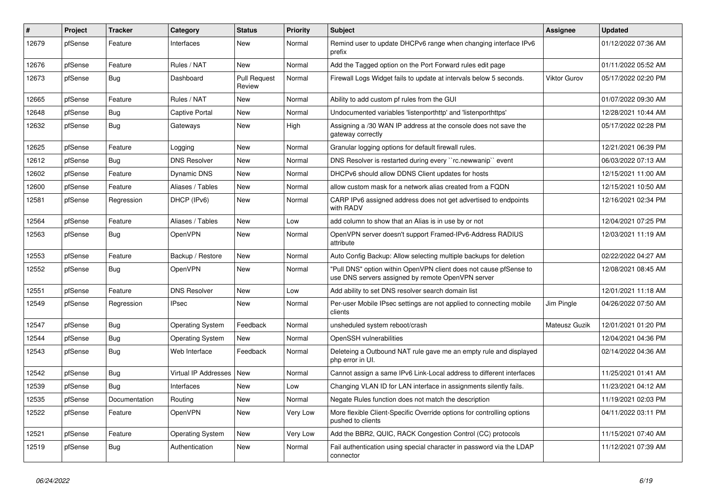| #     | Project | <b>Tracker</b> | Category             | <b>Status</b>                 | <b>Priority</b> | <b>Subject</b>                                                                                                         | <b>Assignee</b> | <b>Updated</b>      |
|-------|---------|----------------|----------------------|-------------------------------|-----------------|------------------------------------------------------------------------------------------------------------------------|-----------------|---------------------|
| 12679 | pfSense | Feature        | Interfaces           | <b>New</b>                    | Normal          | Remind user to update DHCPv6 range when changing interface IPv6<br>prefix                                              |                 | 01/12/2022 07:36 AM |
| 12676 | pfSense | Feature        | Rules / NAT          | <b>New</b>                    | Normal          | Add the Tagged option on the Port Forward rules edit page                                                              |                 | 01/11/2022 05:52 AM |
| 12673 | pfSense | <b>Bug</b>     | Dashboard            | <b>Pull Request</b><br>Review | Normal          | Firewall Logs Widget fails to update at intervals below 5 seconds.                                                     | Viktor Gurov    | 05/17/2022 02:20 PM |
| 12665 | pfSense | Feature        | Rules / NAT          | <b>New</b>                    | Normal          | Ability to add custom pf rules from the GUI                                                                            |                 | 01/07/2022 09:30 AM |
| 12648 | pfSense | <b>Bug</b>     | Captive Portal       | <b>New</b>                    | Normal          | Undocumented variables 'listenporthttp' and 'listenporthttps'                                                          |                 | 12/28/2021 10:44 AM |
| 12632 | pfSense | <b>Bug</b>     | Gateways             | <b>New</b>                    | High            | Assigning a /30 WAN IP address at the console does not save the<br>gateway correctly                                   |                 | 05/17/2022 02:28 PM |
| 12625 | pfSense | Feature        | Logging              | <b>New</b>                    | Normal          | Granular logging options for default firewall rules.                                                                   |                 | 12/21/2021 06:39 PM |
| 12612 | pfSense | Bug            | <b>DNS Resolver</b>  | <b>New</b>                    | Normal          | DNS Resolver is restarted during every "rc.newwanip" event                                                             |                 | 06/03/2022 07:13 AM |
| 12602 | pfSense | Feature        | Dynamic DNS          | New                           | Normal          | DHCPv6 should allow DDNS Client updates for hosts                                                                      |                 | 12/15/2021 11:00 AM |
| 12600 | pfSense | Feature        | Aliases / Tables     | New                           | Normal          | allow custom mask for a network alias created from a FQDN                                                              |                 | 12/15/2021 10:50 AM |
| 12581 | pfSense | Regression     | DHCP (IPv6)          | New                           | Normal          | CARP IPv6 assigned address does not get advertised to endpoints<br>with RADV                                           |                 | 12/16/2021 02:34 PM |
| 12564 | pfSense | Feature        | Aliases / Tables     | <b>New</b>                    | Low             | add column to show that an Alias is in use by or not                                                                   |                 | 12/04/2021 07:25 PM |
| 12563 | pfSense | <b>Bug</b>     | OpenVPN              | New                           | Normal          | OpenVPN server doesn't support Framed-IPv6-Address RADIUS<br>attribute                                                 |                 | 12/03/2021 11:19 AM |
| 12553 | pfSense | Feature        | Backup / Restore     | <b>New</b>                    | Normal          | Auto Config Backup: Allow selecting multiple backups for deletion                                                      |                 | 02/22/2022 04:27 AM |
| 12552 | pfSense | <b>Bug</b>     | OpenVPN              | New                           | Normal          | 'Pull DNS" option within OpenVPN client does not cause pfSense to<br>use DNS servers assigned by remote OpenVPN server |                 | 12/08/2021 08:45 AM |
| 12551 | pfSense | Feature        | <b>DNS Resolver</b>  | New                           | Low             | Add ability to set DNS resolver search domain list                                                                     |                 | 12/01/2021 11:18 AM |
| 12549 | pfSense | Regression     | <b>IPsec</b>         | <b>New</b>                    | Normal          | Per-user Mobile IPsec settings are not applied to connecting mobile<br>clients                                         | Jim Pingle      | 04/26/2022 07:50 AM |
| 12547 | pfSense | Bug            | Operating System     | Feedback                      | Normal          | unsheduled system reboot/crash                                                                                         | Mateusz Guzik   | 12/01/2021 01:20 PM |
| 12544 | pfSense | Bug            | Operating System     | New                           | Normal          | OpenSSH vulnerabilities                                                                                                |                 | 12/04/2021 04:36 PM |
| 12543 | pfSense | <b>Bug</b>     | Web Interface        | Feedback                      | Normal          | Deleteing a Outbound NAT rule gave me an empty rule and displayed<br>php error in UI.                                  |                 | 02/14/2022 04:36 AM |
| 12542 | pfSense | <b>Bug</b>     | Virtual IP Addresses | <b>New</b>                    | Normal          | Cannot assign a same IPv6 Link-Local address to different interfaces                                                   |                 | 11/25/2021 01:41 AM |
| 12539 | pfSense | Bug            | Interfaces           | New                           | Low             | Changing VLAN ID for LAN interface in assignments silently fails.                                                      |                 | 11/23/2021 04:12 AM |
| 12535 | pfSense | Documentation  | Routing              | New                           | Normal          | Negate Rules function does not match the description                                                                   |                 | 11/19/2021 02:03 PM |
| 12522 | pfSense | Feature        | OpenVPN              | New                           | Very Low        | More flexible Client-Specific Override options for controlling options<br>pushed to clients                            |                 | 04/11/2022 03:11 PM |
| 12521 | pfSense | Feature        | Operating System     | <b>New</b>                    | Very Low        | Add the BBR2, QUIC, RACK Congestion Control (CC) protocols                                                             |                 | 11/15/2021 07:40 AM |
| 12519 | pfSense | <b>Bug</b>     | Authentication       | <b>New</b>                    | Normal          | Fail authentication using special character in password via the LDAP<br>connector                                      |                 | 11/12/2021 07:39 AM |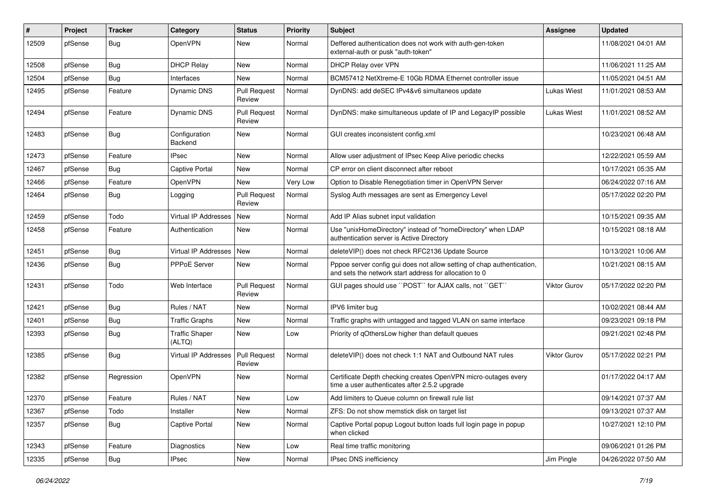| #     | Project | <b>Tracker</b> | Category                        | <b>Status</b>                 | <b>Priority</b> | <b>Subject</b>                                                                                                                   | <b>Assignee</b>     | <b>Updated</b>      |
|-------|---------|----------------|---------------------------------|-------------------------------|-----------------|----------------------------------------------------------------------------------------------------------------------------------|---------------------|---------------------|
| 12509 | pfSense | <b>Bug</b>     | OpenVPN                         | New                           | Normal          | Deffered authentication does not work with auth-gen-token<br>external-auth or pusk "auth-token"                                  |                     | 11/08/2021 04:01 AM |
| 12508 | pfSense | Bug            | <b>DHCP Relay</b>               | New                           | Normal          | DHCP Relay over VPN                                                                                                              |                     | 11/06/2021 11:25 AM |
| 12504 | pfSense | <b>Bug</b>     | Interfaces                      | New                           | Normal          | BCM57412 NetXtreme-E 10Gb RDMA Ethernet controller issue                                                                         |                     | 11/05/2021 04:51 AM |
| 12495 | pfSense | Feature        | Dynamic DNS                     | <b>Pull Request</b><br>Review | Normal          | DynDNS: add deSEC IPv4&v6 simultaneos update                                                                                     | <b>Lukas Wiest</b>  | 11/01/2021 08:53 AM |
| 12494 | pfSense | Feature        | <b>Dynamic DNS</b>              | <b>Pull Request</b><br>Review | Normal          | DynDNS: make simultaneous update of IP and LegacyIP possible                                                                     | Lukas Wiest         | 11/01/2021 08:52 AM |
| 12483 | pfSense | <b>Bug</b>     | Configuration<br>Backend        | New                           | Normal          | GUI creates inconsistent config.xml                                                                                              |                     | 10/23/2021 06:48 AM |
| 12473 | pfSense | Feature        | <b>IPsec</b>                    | New                           | Normal          | Allow user adjustment of IPsec Keep Alive periodic checks                                                                        |                     | 12/22/2021 05:59 AM |
| 12467 | pfSense | Bug            | Captive Portal                  | New                           | Normal          | CP error on client disconnect after reboot                                                                                       |                     | 10/17/2021 05:35 AM |
| 12466 | pfSense | Feature        | OpenVPN                         | <b>New</b>                    | Very Low        | Option to Disable Renegotiation timer in OpenVPN Server                                                                          |                     | 06/24/2022 07:16 AM |
| 12464 | pfSense | <b>Bug</b>     | Logging                         | Pull Request<br>Review        | Normal          | Syslog Auth messages are sent as Emergency Level                                                                                 |                     | 05/17/2022 02:20 PM |
| 12459 | pfSense | Todo           | <b>Virtual IP Addresses</b>     | New                           | Normal          | Add IP Alias subnet input validation                                                                                             |                     | 10/15/2021 09:35 AM |
| 12458 | pfSense | Feature        | Authentication                  | New                           | Normal          | Use "unixHomeDirectory" instead of "homeDirectory" when LDAP<br>authentication server is Active Directory                        |                     | 10/15/2021 08:18 AM |
| 12451 | pfSense | Bug            | Virtual IP Addresses New        |                               | Normal          | deleteVIP() does not check RFC2136 Update Source                                                                                 |                     | 10/13/2021 10:06 AM |
| 12436 | pfSense | <b>Bug</b>     | <b>PPPoE Server</b>             | New                           | Normal          | Pppoe server config gui does not allow setting of chap authentication,<br>and sets the network start address for allocation to 0 |                     | 10/21/2021 08:15 AM |
| 12431 | pfSense | Todo           | Web Interface                   | <b>Pull Request</b><br>Review | Normal          | GUI pages should use "POST" for AJAX calls, not "GET"                                                                            | <b>Viktor Gurov</b> | 05/17/2022 02:20 PM |
| 12421 | pfSense | Bug            | Rules / NAT                     | <b>New</b>                    | Normal          | IPV6 limiter bug                                                                                                                 |                     | 10/02/2021 08:44 AM |
| 12401 | pfSense | <b>Bug</b>     | <b>Traffic Graphs</b>           | New                           | Normal          | Traffic graphs with untagged and tagged VLAN on same interface                                                                   |                     | 09/23/2021 09:18 PM |
| 12393 | pfSense | <b>Bug</b>     | <b>Traffic Shaper</b><br>(ALTQ) | New                           | Low             | Priority of qOthersLow higher than default queues                                                                                |                     | 09/21/2021 02:48 PM |
| 12385 | pfSense | Bug            | Virtual IP Addresses            | <b>Pull Request</b><br>Review | Normal          | deleteVIP() does not check 1:1 NAT and Outbound NAT rules                                                                        | Viktor Gurov        | 05/17/2022 02:21 PM |
| 12382 | pfSense | Regression     | OpenVPN                         | New                           | Normal          | Certificate Depth checking creates OpenVPN micro-outages every<br>time a user authenticates after 2.5.2 upgrade                  |                     | 01/17/2022 04:17 AM |
| 12370 | pfSense | Feature        | Rules / NAT                     | New                           | Low             | Add limiters to Queue column on firewall rule list                                                                               |                     | 09/14/2021 07:37 AM |
| 12367 | pfSense | Todo           | Installer                       | New                           | Normal          | ZFS: Do not show memstick disk on target list                                                                                    |                     | 09/13/2021 07:37 AM |
| 12357 | pfSense | Bug            | <b>Captive Portal</b>           | New                           | Normal          | Captive Portal popup Logout button loads full login page in popup<br>when clicked                                                |                     | 10/27/2021 12:10 PM |
| 12343 | pfSense | Feature        | Diagnostics                     | New                           | Low             | Real time traffic monitoring                                                                                                     |                     | 09/06/2021 01:26 PM |
| 12335 | pfSense | <b>Bug</b>     | <b>IPsec</b>                    | New                           | Normal          | IPsec DNS inefficiency                                                                                                           | Jim Pingle          | 04/26/2022 07:50 AM |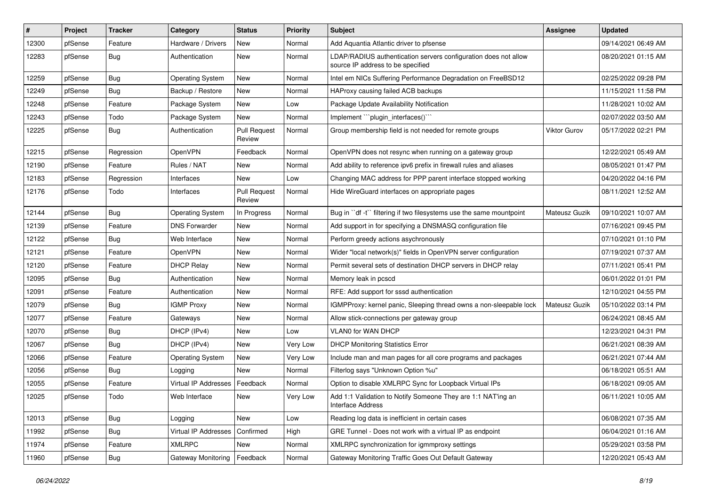| #     | Project | <b>Tracker</b> | Category                         | <b>Status</b>                 | <b>Priority</b> | <b>Subject</b>                                                                                       | <b>Assignee</b> | <b>Updated</b>      |
|-------|---------|----------------|----------------------------------|-------------------------------|-----------------|------------------------------------------------------------------------------------------------------|-----------------|---------------------|
| 12300 | pfSense | Feature        | Hardware / Drivers               | New                           | Normal          | Add Aquantia Atlantic driver to pfsense                                                              |                 | 09/14/2021 06:49 AM |
| 12283 | pfSense | <b>Bug</b>     | Authentication                   | New                           | Normal          | LDAP/RADIUS authentication servers configuration does not allow<br>source IP address to be specified |                 | 08/20/2021 01:15 AM |
| 12259 | pfSense | <b>Bug</b>     | <b>Operating System</b>          | New                           | Normal          | Intel em NICs Suffering Performance Degradation on FreeBSD12                                         |                 | 02/25/2022 09:28 PM |
| 12249 | pfSense | Bug            | Backup / Restore                 | New                           | Normal          | HAProxy causing failed ACB backups                                                                   |                 | 11/15/2021 11:58 PM |
| 12248 | pfSense | Feature        | Package System                   | New                           | Low             | Package Update Availability Notification                                                             |                 | 11/28/2021 10:02 AM |
| 12243 | pfSense | Todo           | Package System                   | New                           | Normal          | Implement "plugin interfaces()"                                                                      |                 | 02/07/2022 03:50 AM |
| 12225 | pfSense | <b>Bug</b>     | Authentication                   | <b>Pull Request</b><br>Review | Normal          | Group membership field is not needed for remote groups                                               | Viktor Gurov    | 05/17/2022 02:21 PM |
| 12215 | pfSense | Regression     | OpenVPN                          | Feedback                      | Normal          | OpenVPN does not resync when running on a gateway group                                              |                 | 12/22/2021 05:49 AM |
| 12190 | pfSense | Feature        | Rules / NAT                      | New                           | Normal          | Add ability to reference ipv6 prefix in firewall rules and aliases                                   |                 | 08/05/2021 01:47 PM |
| 12183 | pfSense | Regression     | Interfaces                       | New                           | Low             | Changing MAC address for PPP parent interface stopped working                                        |                 | 04/20/2022 04:16 PM |
| 12176 | pfSense | Todo           | Interfaces                       | <b>Pull Request</b><br>Review | Normal          | Hide WireGuard interfaces on appropriate pages                                                       |                 | 08/11/2021 12:52 AM |
| 12144 | pfSense | <b>Bug</b>     | <b>Operating System</b>          | In Progress                   | Normal          | Bug in "df -t" filtering if two filesystems use the same mountpoint                                  | Mateusz Guzik   | 09/10/2021 10:07 AM |
| 12139 | pfSense | Feature        | <b>DNS Forwarder</b>             | New                           | Normal          | Add support in for specifying a DNSMASQ configuration file                                           |                 | 07/16/2021 09:45 PM |
| 12122 | pfSense | <b>Bug</b>     | Web Interface                    | New                           | Normal          | Perform greedy actions asychronously                                                                 |                 | 07/10/2021 01:10 PM |
| 12121 | pfSense | Feature        | OpenVPN                          | New                           | Normal          | Wider "local network(s)" fields in OpenVPN server configuration                                      |                 | 07/19/2021 07:37 AM |
| 12120 | pfSense | Feature        | <b>DHCP Relay</b>                | New                           | Normal          | Permit several sets of destination DHCP servers in DHCP relay                                        |                 | 07/11/2021 05:41 PM |
| 12095 | pfSense | Bug            | Authentication                   | New                           | Normal          | Memory leak in pcscd                                                                                 |                 | 06/01/2022 01:01 PM |
| 12091 | pfSense | Feature        | Authentication                   | New                           | Normal          | RFE: Add support for sssd authentication                                                             |                 | 12/10/2021 04:55 PM |
| 12079 | pfSense | <b>Bug</b>     | <b>IGMP Proxy</b>                | New                           | Normal          | IGMPProxy: kernel panic, Sleeping thread owns a non-sleepable lock                                   | Mateusz Guzik   | 05/10/2022 03:14 PM |
| 12077 | pfSense | Feature        | Gateways                         | New                           | Normal          | Allow stick-connections per gateway group                                                            |                 | 06/24/2021 08:45 AM |
| 12070 | pfSense | Bug            | DHCP (IPv4)                      | New                           | Low             | VLAN0 for WAN DHCP                                                                                   |                 | 12/23/2021 04:31 PM |
| 12067 | pfSense | <b>Bug</b>     | DHCP (IPv4)                      | New                           | Very Low        | <b>DHCP Monitoring Statistics Error</b>                                                              |                 | 06/21/2021 08:39 AM |
| 12066 | pfSense | Feature        | <b>Operating System</b>          | New                           | Very Low        | Include man and man pages for all core programs and packages                                         |                 | 06/21/2021 07:44 AM |
| 12056 | pfSense | Bug            | Logging                          | New                           | Normal          | Filterlog says "Unknown Option %u"                                                                   |                 | 06/18/2021 05:51 AM |
| 12055 | pfSense | Feature        | Virtual IP Addresses             | Feedback                      | Normal          | Option to disable XMLRPC Sync for Loopback Virtual IPs                                               |                 | 06/18/2021 09:05 AM |
| 12025 | pfSense | Todo           | Web Interface                    | New                           | Very Low        | Add 1:1 Validation to Notify Someone They are 1:1 NAT'ing an<br>Interface Address                    |                 | 06/11/2021 10:05 AM |
| 12013 | pfSense | <b>Bug</b>     | Logging                          | New                           | Low             | Reading log data is inefficient in certain cases                                                     |                 | 06/08/2021 07:35 AM |
| 11992 | pfSense | Bug            | Virtual IP Addresses   Confirmed |                               | High            | GRE Tunnel - Does not work with a virtual IP as endpoint                                             |                 | 06/04/2021 01:16 AM |
| 11974 | pfSense | Feature        | <b>XMLRPC</b>                    | New                           | Normal          | XMLRPC synchronization for igmmproxy settings                                                        |                 | 05/29/2021 03:58 PM |
| 11960 | pfSense | <b>Bug</b>     | Gateway Monitoring               | Feedback                      | Normal          | Gateway Monitoring Traffic Goes Out Default Gateway                                                  |                 | 12/20/2021 05:43 AM |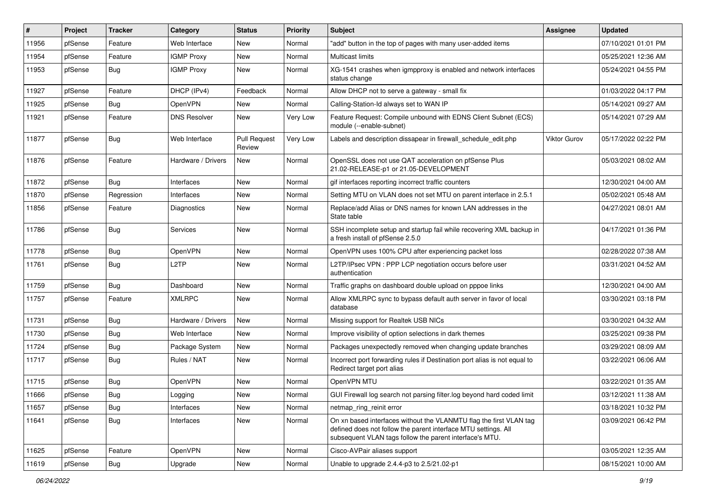| #     | Project | <b>Tracker</b> | Category            | <b>Status</b>                 | <b>Priority</b> | <b>Subject</b>                                                                                                                                                                                  | <b>Assignee</b> | <b>Updated</b>      |
|-------|---------|----------------|---------------------|-------------------------------|-----------------|-------------------------------------------------------------------------------------------------------------------------------------------------------------------------------------------------|-----------------|---------------------|
| 11956 | pfSense | Feature        | Web Interface       | New                           | Normal          | "add" button in the top of pages with many user-added items                                                                                                                                     |                 | 07/10/2021 01:01 PM |
| 11954 | pfSense | Feature        | <b>IGMP Proxy</b>   | New                           | Normal          | Multicast limits                                                                                                                                                                                |                 | 05/25/2021 12:36 AM |
| 11953 | pfSense | <b>Bug</b>     | <b>IGMP Proxy</b>   | New                           | Normal          | XG-1541 crashes when igmpproxy is enabled and network interfaces<br>status change                                                                                                               |                 | 05/24/2021 04:55 PM |
| 11927 | pfSense | Feature        | DHCP (IPv4)         | Feedback                      | Normal          | Allow DHCP not to serve a gateway - small fix                                                                                                                                                   |                 | 01/03/2022 04:17 PM |
| 11925 | pfSense | <b>Bug</b>     | OpenVPN             | New                           | Normal          | Calling-Station-Id always set to WAN IP                                                                                                                                                         |                 | 05/14/2021 09:27 AM |
| 11921 | pfSense | Feature        | <b>DNS Resolver</b> | New                           | Very Low        | Feature Request: Compile unbound with EDNS Client Subnet (ECS)<br>module (--enable-subnet)                                                                                                      |                 | 05/14/2021 07:29 AM |
| 11877 | pfSense | <b>Bug</b>     | Web Interface       | <b>Pull Request</b><br>Review | Very Low        | Labels and description dissapear in firewall schedule edit.php                                                                                                                                  | Viktor Gurov    | 05/17/2022 02:22 PM |
| 11876 | pfSense | Feature        | Hardware / Drivers  | New                           | Normal          | OpenSSL does not use QAT acceleration on pfSense Plus<br>21.02-RELEASE-p1 or 21.05-DEVELOPMENT                                                                                                  |                 | 05/03/2021 08:02 AM |
| 11872 | pfSense | <b>Bug</b>     | Interfaces          | <b>New</b>                    | Normal          | gif interfaces reporting incorrect traffic counters                                                                                                                                             |                 | 12/30/2021 04:00 AM |
| 11870 | pfSense | Regression     | Interfaces          | New                           | Normal          | Setting MTU on VLAN does not set MTU on parent interface in 2.5.1                                                                                                                               |                 | 05/02/2021 05:48 AM |
| 11856 | pfSense | Feature        | Diagnostics         | New                           | Normal          | Replace/add Alias or DNS names for known LAN addresses in the<br>State table                                                                                                                    |                 | 04/27/2021 08:01 AM |
| 11786 | pfSense | <b>Bug</b>     | Services            | <b>New</b>                    | Normal          | SSH incomplete setup and startup fail while recovering XML backup in<br>a fresh install of pfSense 2.5.0                                                                                        |                 | 04/17/2021 01:36 PM |
| 11778 | pfSense | Bug            | OpenVPN             | <b>New</b>                    | Normal          | OpenVPN uses 100% CPU after experiencing packet loss                                                                                                                                            |                 | 02/28/2022 07:38 AM |
| 11761 | pfSense | <b>Bug</b>     | L <sub>2</sub> TP   | New                           | Normal          | L2TP/IPsec VPN : PPP LCP negotiation occurs before user<br>authentication                                                                                                                       |                 | 03/31/2021 04:52 AM |
| 11759 | pfSense | <b>Bug</b>     | Dashboard           | New                           | Normal          | Traffic graphs on dashboard double upload on pppoe links                                                                                                                                        |                 | 12/30/2021 04:00 AM |
| 11757 | pfSense | Feature        | <b>XMLRPC</b>       | New                           | Normal          | Allow XMLRPC sync to bypass default auth server in favor of local<br>database                                                                                                                   |                 | 03/30/2021 03:18 PM |
| 11731 | pfSense | <b>Bug</b>     | Hardware / Drivers  | New                           | Normal          | Missing support for Realtek USB NICs                                                                                                                                                            |                 | 03/30/2021 04:32 AM |
| 11730 | pfSense | Bug            | Web Interface       | New                           | Normal          | Improve visibility of option selections in dark themes                                                                                                                                          |                 | 03/25/2021 09:38 PM |
| 11724 | pfSense | <b>Bug</b>     | Package System      | New                           | Normal          | Packages unexpectedly removed when changing update branches                                                                                                                                     |                 | 03/29/2021 08:09 AM |
| 11717 | pfSense | <b>Bug</b>     | Rules / NAT         | New                           | Normal          | Incorrect port forwarding rules if Destination port alias is not equal to<br>Redirect target port alias                                                                                         |                 | 03/22/2021 06:06 AM |
| 11715 | pfSense | <b>Bug</b>     | OpenVPN             | New                           | Normal          | OpenVPN MTU                                                                                                                                                                                     |                 | 03/22/2021 01:35 AM |
| 11666 | pfSense | <b>Bug</b>     | Logging             | New                           | Normal          | GUI Firewall log search not parsing filter.log beyond hard coded limit                                                                                                                          |                 | 03/12/2021 11:38 AM |
| 11657 | pfSense | <b>Bug</b>     | Interfaces          | New                           | Normal          | netmap_ring_reinit error                                                                                                                                                                        |                 | 03/18/2021 10:32 PM |
| 11641 | pfSense | <b>Bug</b>     | Interfaces          | New                           | Normal          | On xn based interfaces without the VLANMTU flag the first VLAN tag<br>defined does not follow the parent interface MTU settings. All<br>subsequent VLAN tags follow the parent interface's MTU. |                 | 03/09/2021 06:42 PM |
| 11625 | pfSense | Feature        | OpenVPN             | New                           | Normal          | Cisco-AVPair aliases support                                                                                                                                                                    |                 | 03/05/2021 12:35 AM |
| 11619 | pfSense | <b>Bug</b>     | Upgrade             | New                           | Normal          | Unable to upgrade 2.4.4-p3 to 2.5/21.02-p1                                                                                                                                                      |                 | 08/15/2021 10:00 AM |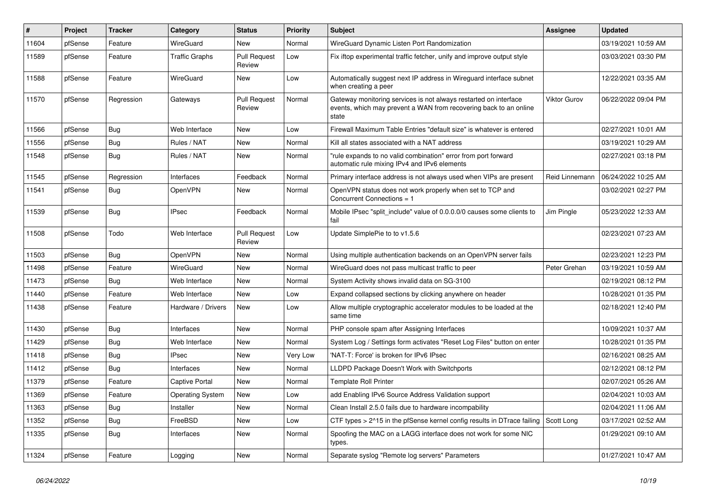| #     | Project | <b>Tracker</b> | Category              | <b>Status</b>                 | <b>Priority</b> | <b>Subject</b>                                                                                                                                 | Assignee            | <b>Updated</b>      |
|-------|---------|----------------|-----------------------|-------------------------------|-----------------|------------------------------------------------------------------------------------------------------------------------------------------------|---------------------|---------------------|
| 11604 | pfSense | Feature        | WireGuard             | New                           | Normal          | WireGuard Dynamic Listen Port Randomization                                                                                                    |                     | 03/19/2021 10:59 AM |
| 11589 | pfSense | Feature        | <b>Traffic Graphs</b> | <b>Pull Request</b><br>Review | Low             | Fix iftop experimental traffic fetcher, unify and improve output style                                                                         |                     | 03/03/2021 03:30 PM |
| 11588 | pfSense | Feature        | WireGuard             | New                           | Low             | Automatically suggest next IP address in Wireguard interface subnet<br>when creating a peer                                                    |                     | 12/22/2021 03:35 AM |
| 11570 | pfSense | Regression     | Gateways              | <b>Pull Request</b><br>Review | Normal          | Gateway monitoring services is not always restarted on interface<br>events, which may prevent a WAN from recovering back to an online<br>state | <b>Viktor Gurov</b> | 06/22/2022 09:04 PM |
| 11566 | pfSense | <b>Bug</b>     | Web Interface         | New                           | Low             | Firewall Maximum Table Entries "default size" is whatever is entered                                                                           |                     | 02/27/2021 10:01 AM |
| 11556 | pfSense | <b>Bug</b>     | Rules / NAT           | New                           | Normal          | Kill all states associated with a NAT address                                                                                                  |                     | 03/19/2021 10:29 AM |
| 11548 | pfSense | <b>Bug</b>     | Rules / NAT           | New                           | Normal          | "rule expands to no valid combination" error from port forward<br>automatic rule mixing IPv4 and IPv6 elements                                 |                     | 02/27/2021 03:18 PM |
| 11545 | pfSense | Regression     | Interfaces            | Feedback                      | Normal          | Primary interface address is not always used when VIPs are present                                                                             | Reid Linnemann      | 06/24/2022 10:25 AM |
| 11541 | pfSense | <b>Bug</b>     | <b>OpenVPN</b>        | New                           | Normal          | OpenVPN status does not work properly when set to TCP and<br>Concurrent Connections = 1                                                        |                     | 03/02/2021 02:27 PM |
| 11539 | pfSense | Bug            | IPsec                 | Feedback                      | Normal          | Mobile IPsec "split include" value of 0.0.0.0/0 causes some clients to<br>fail                                                                 | Jim Pingle          | 05/23/2022 12:33 AM |
| 11508 | pfSense | Todo           | Web Interface         | <b>Pull Request</b><br>Review | Low             | Update SimplePie to to v1.5.6                                                                                                                  |                     | 02/23/2021 07:23 AM |
| 11503 | pfSense | Bug            | <b>OpenVPN</b>        | New                           | Normal          | Using multiple authentication backends on an OpenVPN server fails                                                                              |                     | 02/23/2021 12:23 PM |
| 11498 | pfSense | Feature        | WireGuard             | New                           | Normal          | WireGuard does not pass multicast traffic to peer                                                                                              | Peter Grehan        | 03/19/2021 10:59 AM |
| 11473 | pfSense | <b>Bug</b>     | Web Interface         | New                           | Normal          | System Activity shows invalid data on SG-3100                                                                                                  |                     | 02/19/2021 08:12 PM |
| 11440 | pfSense | Feature        | Web Interface         | New                           | Low             | Expand collapsed sections by clicking anywhere on header                                                                                       |                     | 10/28/2021 01:35 PM |
| 11438 | pfSense | Feature        | Hardware / Drivers    | New                           | Low             | Allow multiple cryptographic accelerator modules to be loaded at the<br>same time                                                              |                     | 02/18/2021 12:40 PM |
| 11430 | pfSense | <b>Bug</b>     | Interfaces            | New                           | Normal          | PHP console spam after Assigning Interfaces                                                                                                    |                     | 10/09/2021 10:37 AM |
| 11429 | pfSense | <b>Bug</b>     | Web Interface         | New                           | Normal          | System Log / Settings form activates "Reset Log Files" button on enter                                                                         |                     | 10/28/2021 01:35 PM |
| 11418 | pfSense | Bug            | <b>IPsec</b>          | New                           | Very Low        | 'NAT-T: Force' is broken for IPv6 IPsec                                                                                                        |                     | 02/16/2021 08:25 AM |
| 11412 | pfSense | <b>Bug</b>     | Interfaces            | New                           | Normal          | LLDPD Package Doesn't Work with Switchports                                                                                                    |                     | 02/12/2021 08:12 PM |
| 11379 | pfSense | Feature        | Captive Portal        | New                           | Normal          | <b>Template Roll Printer</b>                                                                                                                   |                     | 02/07/2021 05:26 AM |
| 11369 | pfSense | Feature        | Operating System      | New                           | Low             | add Enabling IPv6 Source Address Validation support                                                                                            |                     | 02/04/2021 10:03 AM |
| 11363 | pfSense | Bug            | Installer             | New                           | Normal          | Clean Install 2.5.0 fails due to hardware incompability                                                                                        |                     | 02/04/2021 11:06 AM |
| 11352 | pfSense | Bug            | FreeBSD               | New                           | Low             | CTF types > 2^15 in the pfSense kernel config results in DTrace failing                                                                        | Scott Long          | 03/17/2021 02:52 AM |
| 11335 | pfSense | <b>Bug</b>     | Interfaces            | New                           | Normal          | Spoofing the MAC on a LAGG interface does not work for some NIC<br>types.                                                                      |                     | 01/29/2021 09:10 AM |
| 11324 | pfSense | Feature        | Logging               | New                           | Normal          | Separate syslog "Remote log servers" Parameters                                                                                                |                     | 01/27/2021 10:47 AM |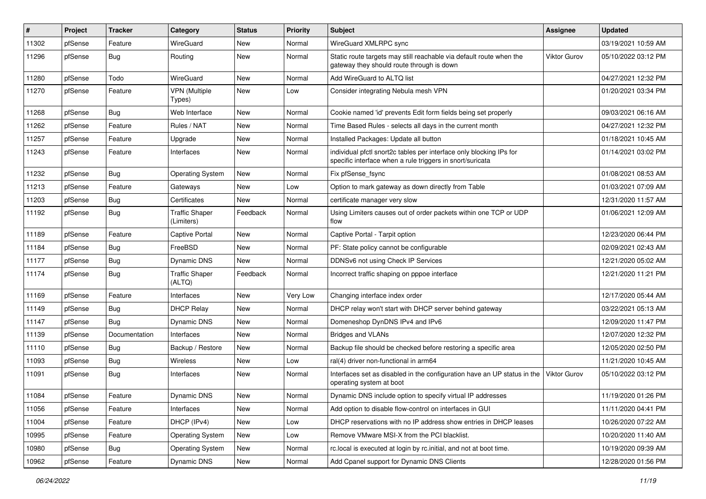| #     | Project | <b>Tracker</b> | Category                            | <b>Status</b> | <b>Priority</b> | <b>Subject</b>                                                                                                                   | <b>Assignee</b>     | <b>Updated</b>      |
|-------|---------|----------------|-------------------------------------|---------------|-----------------|----------------------------------------------------------------------------------------------------------------------------------|---------------------|---------------------|
| 11302 | pfSense | Feature        | WireGuard                           | New           | Normal          | WireGuard XMLRPC sync                                                                                                            |                     | 03/19/2021 10:59 AM |
| 11296 | pfSense | <b>Bug</b>     | Routing                             | New           | Normal          | Static route targets may still reachable via default route when the<br>gateway they should route through is down                 | <b>Viktor Gurov</b> | 05/10/2022 03:12 PM |
| 11280 | pfSense | Todo           | WireGuard                           | New           | Normal          | Add WireGuard to ALTQ list                                                                                                       |                     | 04/27/2021 12:32 PM |
| 11270 | pfSense | Feature        | <b>VPN (Multiple</b><br>Types)      | New           | Low             | Consider integrating Nebula mesh VPN                                                                                             |                     | 01/20/2021 03:34 PM |
| 11268 | pfSense | Bug            | Web Interface                       | New           | Normal          | Cookie named 'id' prevents Edit form fields being set properly                                                                   |                     | 09/03/2021 06:16 AM |
| 11262 | pfSense | Feature        | Rules / NAT                         | New           | Normal          | Time Based Rules - selects all days in the current month                                                                         |                     | 04/27/2021 12:32 PM |
| 11257 | pfSense | Feature        | Upgrade                             | New           | Normal          | Installed Packages: Update all button                                                                                            |                     | 01/18/2021 10:45 AM |
| 11243 | pfSense | Feature        | Interfaces                          | New           | Normal          | individual pfctl snort2c tables per interface only blocking IPs for<br>specific interface when a rule triggers in snort/suricata |                     | 01/14/2021 03:02 PM |
| 11232 | pfSense | Bug            | <b>Operating System</b>             | New           | Normal          | Fix pfSense_fsync                                                                                                                |                     | 01/08/2021 08:53 AM |
| 11213 | pfSense | Feature        | Gateways                            | New           | Low             | Option to mark gateway as down directly from Table                                                                               |                     | 01/03/2021 07:09 AM |
| 11203 | pfSense | <b>Bug</b>     | Certificates                        | New           | Normal          | certificate manager very slow                                                                                                    |                     | 12/31/2020 11:57 AM |
| 11192 | pfSense | <b>Bug</b>     | <b>Traffic Shaper</b><br>(Limiters) | Feedback      | Normal          | Using Limiters causes out of order packets within one TCP or UDP<br>flow                                                         |                     | 01/06/2021 12:09 AM |
| 11189 | pfSense | Feature        | Captive Portal                      | New           | Normal          | Captive Portal - Tarpit option                                                                                                   |                     | 12/23/2020 06:44 PM |
| 11184 | pfSense | Bug            | FreeBSD                             | New           | Normal          | PF: State policy cannot be configurable                                                                                          |                     | 02/09/2021 02:43 AM |
| 11177 | pfSense | <b>Bug</b>     | Dynamic DNS                         | New           | Normal          | DDNSv6 not using Check IP Services                                                                                               |                     | 12/21/2020 05:02 AM |
| 11174 | pfSense | <b>Bug</b>     | <b>Traffic Shaper</b><br>(ALTQ)     | Feedback      | Normal          | Incorrect traffic shaping on pppoe interface                                                                                     |                     | 12/21/2020 11:21 PM |
| 11169 | pfSense | Feature        | Interfaces                          | New           | Very Low        | Changing interface index order                                                                                                   |                     | 12/17/2020 05:44 AM |
| 11149 | pfSense | <b>Bug</b>     | <b>DHCP Relay</b>                   | New           | Normal          | DHCP relay won't start with DHCP server behind gateway                                                                           |                     | 03/22/2021 05:13 AM |
| 11147 | pfSense | <b>Bug</b>     | Dynamic DNS                         | New           | Normal          | Domeneshop DynDNS IPv4 and IPv6                                                                                                  |                     | 12/09/2020 11:47 PM |
| 11139 | pfSense | Documentation  | Interfaces                          | New           | Normal          | <b>Bridges and VLANs</b>                                                                                                         |                     | 12/07/2020 12:32 PM |
| 11110 | pfSense | Bug            | Backup / Restore                    | New           | Normal          | Backup file should be checked before restoring a specific area                                                                   |                     | 12/05/2020 02:50 PM |
| 11093 | pfSense | <b>Bug</b>     | Wireless                            | New           | Low             | ral(4) driver non-functional in arm64                                                                                            |                     | 11/21/2020 10:45 AM |
| 11091 | pfSense | Bug            | Interfaces                          | New           | Normal          | Interfaces set as disabled in the configuration have an UP status in the<br>operating system at boot                             | Viktor Gurov        | 05/10/2022 03:12 PM |
| 11084 | pfSense | Feature        | Dynamic DNS                         | New           | Normal          | Dynamic DNS include option to specify virtual IP addresses                                                                       |                     | 11/19/2020 01:26 PM |
| 11056 | pfSense | Feature        | Interfaces                          | New           | Normal          | Add option to disable flow-control on interfaces in GUI                                                                          |                     | 11/11/2020 04:41 PM |
| 11004 | pfSense | Feature        | DHCP (IPv4)                         | New           | Low             | DHCP reservations with no IP address show entries in DHCP leases                                                                 |                     | 10/26/2020 07:22 AM |
| 10995 | pfSense | Feature        | <b>Operating System</b>             | New           | Low             | Remove VMware MSI-X from the PCI blacklist.                                                                                      |                     | 10/20/2020 11:40 AM |
| 10980 | pfSense | <b>Bug</b>     | <b>Operating System</b>             | New           | Normal          | rc.local is executed at login by rc.initial, and not at boot time.                                                               |                     | 10/19/2020 09:39 AM |
| 10962 | pfSense | Feature        | Dynamic DNS                         | New           | Normal          | Add Cpanel support for Dynamic DNS Clients                                                                                       |                     | 12/28/2020 01:56 PM |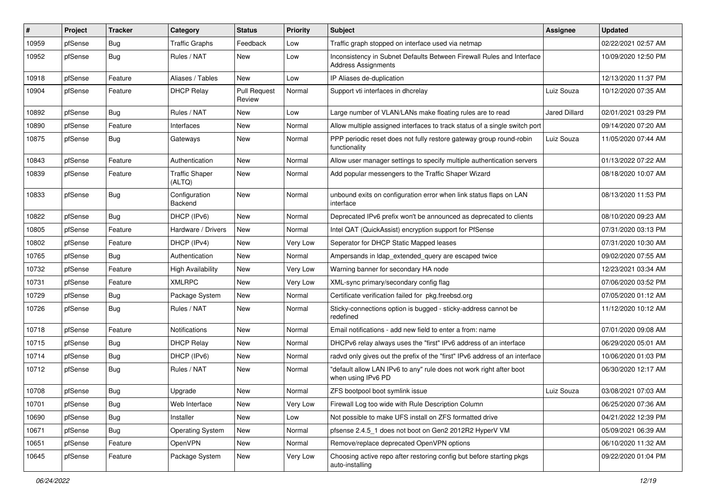| #     | Project | <b>Tracker</b> | Category                        | <b>Status</b>                 | <b>Priority</b> | <b>Subject</b>                                                                                      | <b>Assignee</b>      | <b>Updated</b>      |
|-------|---------|----------------|---------------------------------|-------------------------------|-----------------|-----------------------------------------------------------------------------------------------------|----------------------|---------------------|
| 10959 | pfSense | <b>Bug</b>     | <b>Traffic Graphs</b>           | Feedback                      | Low             | Traffic graph stopped on interface used via netmap                                                  |                      | 02/22/2021 02:57 AM |
| 10952 | pfSense | <b>Bug</b>     | Rules / NAT                     | New                           | Low             | Inconsistency in Subnet Defaults Between Firewall Rules and Interface<br><b>Address Assignments</b> |                      | 10/09/2020 12:50 PM |
| 10918 | pfSense | Feature        | Aliases / Tables                | New                           | Low             | IP Aliases de-duplication                                                                           |                      | 12/13/2020 11:37 PM |
| 10904 | pfSense | Feature        | <b>DHCP Relay</b>               | <b>Pull Request</b><br>Review | Normal          | Support vti interfaces in dhcrelay                                                                  | Luiz Souza           | 10/12/2020 07:35 AM |
| 10892 | pfSense | Bug            | Rules / NAT                     | New                           | Low             | Large number of VLAN/LANs make floating rules are to read                                           | <b>Jared Dillard</b> | 02/01/2021 03:29 PM |
| 10890 | pfSense | Feature        | Interfaces                      | <b>New</b>                    | Normal          | Allow multiple assigned interfaces to track status of a single switch port                          |                      | 09/14/2020 07:20 AM |
| 10875 | pfSense | <b>Bug</b>     | Gateways                        | New                           | Normal          | PPP periodic reset does not fully restore gateway group round-robin<br>functionality                | Luiz Souza           | 11/05/2020 07:44 AM |
| 10843 | pfSense | Feature        | Authentication                  | New                           | Normal          | Allow user manager settings to specify multiple authentication servers                              |                      | 01/13/2022 07:22 AM |
| 10839 | pfSense | Feature        | <b>Traffic Shaper</b><br>(ALTQ) | New                           | Normal          | Add popular messengers to the Traffic Shaper Wizard                                                 |                      | 08/18/2020 10:07 AM |
| 10833 | pfSense | Bug            | Configuration<br>Backend        | New                           | Normal          | unbound exits on configuration error when link status flaps on LAN<br>interface                     |                      | 08/13/2020 11:53 PM |
| 10822 | pfSense | <b>Bug</b>     | DHCP (IPv6)                     | New                           | Normal          | Deprecated IPv6 prefix won't be announced as deprecated to clients                                  |                      | 08/10/2020 09:23 AM |
| 10805 | pfSense | Feature        | Hardware / Drivers              | New                           | Normal          | Intel QAT (QuickAssist) encryption support for PfSense                                              |                      | 07/31/2020 03:13 PM |
| 10802 | pfSense | Feature        | DHCP (IPv4)                     | New                           | Very Low        | Seperator for DHCP Static Mapped leases                                                             |                      | 07/31/2020 10:30 AM |
| 10765 | pfSense | <b>Bug</b>     | Authentication                  | New                           | Normal          | Ampersands in Idap extended query are escaped twice                                                 |                      | 09/02/2020 07:55 AM |
| 10732 | pfSense | Feature        | <b>High Availability</b>        | New                           | Very Low        | Warning banner for secondary HA node                                                                |                      | 12/23/2021 03:34 AM |
| 10731 | pfSense | Feature        | <b>XMLRPC</b>                   | New                           | Very Low        | XML-sync primary/secondary config flag                                                              |                      | 07/06/2020 03:52 PM |
| 10729 | pfSense | <b>Bug</b>     | Package System                  | New                           | Normal          | Certificate verification failed for pkg.freebsd.org                                                 |                      | 07/05/2020 01:12 AM |
| 10726 | pfSense | <b>Bug</b>     | Rules / NAT                     | New                           | Normal          | Sticky-connections option is bugged - sticky-address cannot be<br>redefined                         |                      | 11/12/2020 10:12 AM |
| 10718 | pfSense | Feature        | Notifications                   | New                           | Normal          | Email notifications - add new field to enter a from: name                                           |                      | 07/01/2020 09:08 AM |
| 10715 | pfSense | <b>Bug</b>     | <b>DHCP Relay</b>               | New                           | Normal          | DHCPv6 relay always uses the "first" IPv6 address of an interface                                   |                      | 06/29/2020 05:01 AM |
| 10714 | pfSense | <b>Bug</b>     | DHCP (IPv6)                     | New                           | Normal          | radvd only gives out the prefix of the "first" IPv6 address of an interface                         |                      | 10/06/2020 01:03 PM |
| 10712 | pfSense | Bug            | Rules / NAT                     | New                           | Normal          | "default allow LAN IPv6 to any" rule does not work right after boot<br>when using IPv6 PD           |                      | 06/30/2020 12:17 AM |
| 10708 | pfSense | Bug            | Upgrade                         | New                           | Normal          | ZFS bootpool boot symlink issue                                                                     | Luiz Souza           | 03/08/2021 07:03 AM |
| 10701 | pfSense | <b>Bug</b>     | Web Interface                   | New                           | Very Low        | Firewall Log too wide with Rule Description Column                                                  |                      | 06/25/2020 07:36 AM |
| 10690 | pfSense | <b>Bug</b>     | Installer                       | New                           | Low             | Not possible to make UFS install on ZFS formatted drive                                             |                      | 04/21/2022 12:39 PM |
| 10671 | pfSense | Bug            | <b>Operating System</b>         | New                           | Normal          | pfsense 2.4.5_1 does not boot on Gen2 2012R2 HyperV VM                                              |                      | 05/09/2021 06:39 AM |
| 10651 | pfSense | Feature        | OpenVPN                         | New                           | Normal          | Remove/replace deprecated OpenVPN options                                                           |                      | 06/10/2020 11:32 AM |
| 10645 | pfSense | Feature        | Package System                  | New                           | Very Low        | Choosing active repo after restoring config but before starting pkgs<br>auto-installing             |                      | 09/22/2020 01:04 PM |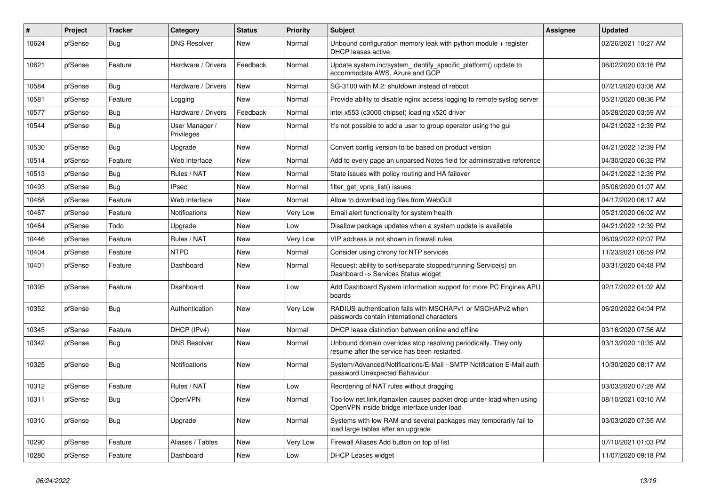| $\#$  | Project | <b>Tracker</b> | Category                     | <b>Status</b> | <b>Priority</b> | <b>Subject</b>                                                                                                    | <b>Assignee</b> | <b>Updated</b>      |
|-------|---------|----------------|------------------------------|---------------|-----------------|-------------------------------------------------------------------------------------------------------------------|-----------------|---------------------|
| 10624 | pfSense | <b>Bug</b>     | <b>DNS Resolver</b>          | <b>New</b>    | Normal          | Unbound configuration memory leak with python module $+$ register<br>DHCP leases active                           |                 | 02/26/2021 10:27 AM |
| 10621 | pfSense | Feature        | Hardware / Drivers           | Feedback      | Normal          | Update system.inc/system_identify_specific_platform() update to<br>accommodate AWS, Azure and GCP                 |                 | 06/02/2020 03:16 PM |
| 10584 | pfSense | Bug            | Hardware / Drivers           | <b>New</b>    | Normal          | SG-3100 with M.2: shutdown instead of reboot                                                                      |                 | 07/21/2020 03:08 AM |
| 10581 | pfSense | Feature        | Logging                      | <b>New</b>    | Normal          | Provide ability to disable nginx access logging to remote syslog server                                           |                 | 05/21/2020 08:36 PM |
| 10577 | pfSense | <b>Bug</b>     | Hardware / Drivers           | Feedback      | Normal          | intel x553 (c3000 chipset) loading x520 driver                                                                    |                 | 05/28/2020 03:59 AM |
| 10544 | pfSense | <b>Bug</b>     | User Manager /<br>Privileges | New           | Normal          | It's not possible to add a user to group operator using the gui                                                   |                 | 04/21/2022 12:39 PM |
| 10530 | pfSense | Bug            | Upgrade                      | New           | Normal          | Convert config version to be based on product version                                                             |                 | 04/21/2022 12:39 PM |
| 10514 | pfSense | Feature        | Web Interface                | New           | Normal          | Add to every page an unparsed Notes field for administrative reference                                            |                 | 04/30/2020 06:32 PM |
| 10513 | pfSense | <b>Bug</b>     | Rules / NAT                  | New           | Normal          | State issues with policy routing and HA failover                                                                  |                 | 04/21/2022 12:39 PM |
| 10493 | pfSense | <b>Bug</b>     | <b>IPsec</b>                 | <b>New</b>    | Normal          | filter get vpns list() issues                                                                                     |                 | 05/06/2020 01:07 AM |
| 10468 | pfSense | Feature        | Web Interface                | New           | Normal          | Allow to download log files from WebGUI                                                                           |                 | 04/17/2020 06:17 AM |
| 10467 | pfSense | Feature        | Notifications                | New           | Very Low        | Email alert functionality for system health                                                                       |                 | 05/21/2020 06:02 AM |
| 10464 | pfSense | Todo           | Upgrade                      | <b>New</b>    | Low             | Disallow package updates when a system update is available                                                        |                 | 04/21/2022 12:39 PM |
| 10446 | pfSense | Feature        | Rules / NAT                  | <b>New</b>    | Very Low        | VIP address is not shown in firewall rules                                                                        |                 | 06/09/2022 02:07 PM |
| 10404 | pfSense | Feature        | <b>NTPD</b>                  | <b>New</b>    | Normal          | Consider using chrony for NTP services                                                                            |                 | 11/23/2021 06:59 PM |
| 10401 | pfSense | Feature        | Dashboard                    | <b>New</b>    | Normal          | Request: ability to sort/separate stopped/running Service(s) on<br>Dashboard -> Services Status widget            |                 | 03/31/2020 04:48 PM |
| 10395 | pfSense | Feature        | Dashboard                    | New           | Low             | Add Dashboard System Information support for more PC Engines APU<br>boards                                        |                 | 02/17/2022 01:02 AM |
| 10352 | pfSense | Bug            | Authentication               | New           | Very Low        | RADIUS authentication fails with MSCHAPv1 or MSCHAPv2 when<br>passwords contain international characters          |                 | 06/20/2022 04:04 PM |
| 10345 | pfSense | Feature        | DHCP (IPv4)                  | <b>New</b>    | Normal          | DHCP lease distinction between online and offline                                                                 |                 | 03/16/2020 07:56 AM |
| 10342 | pfSense | <b>Bug</b>     | <b>DNS Resolver</b>          | <b>New</b>    | Normal          | Unbound domain overrides stop resolving periodically. They only<br>resume after the service has been restarted.   |                 | 03/13/2020 10:35 AM |
| 10325 | pfSense | <b>Bug</b>     | Notifications                | New           | Normal          | System/Advanced/Notifications/E-Mail - SMTP Notification E-Mail auth<br>password Unexpected Bahaviour             |                 | 10/30/2020 08:17 AM |
| 10312 | pfSense | Feature        | Rules / NAT                  | <b>New</b>    | Low             | Reordering of NAT rules without dragging                                                                          |                 | 03/03/2020 07:28 AM |
| 10311 | pfSense | Bug            | OpenVPN                      | New           | Normal          | Too low net.link.ifqmaxlen causes packet drop under load when using<br>OpenVPN inside bridge interface under load |                 | 08/10/2021 03:10 AM |
| 10310 | pfSense | Bug            | Upgrade                      | New           | Normal          | Systems with low RAM and several packages may temporarily fail to<br>load large tables after an upgrade           |                 | 03/03/2020 07:55 AM |
| 10290 | pfSense | Feature        | Aliases / Tables             | New           | Very Low        | Firewall Aliases Add button on top of list                                                                        |                 | 07/10/2021 01:03 PM |
| 10280 | pfSense | Feature        | Dashboard                    | New           | Low             | <b>DHCP Leases widget</b>                                                                                         |                 | 11/07/2020 09:18 PM |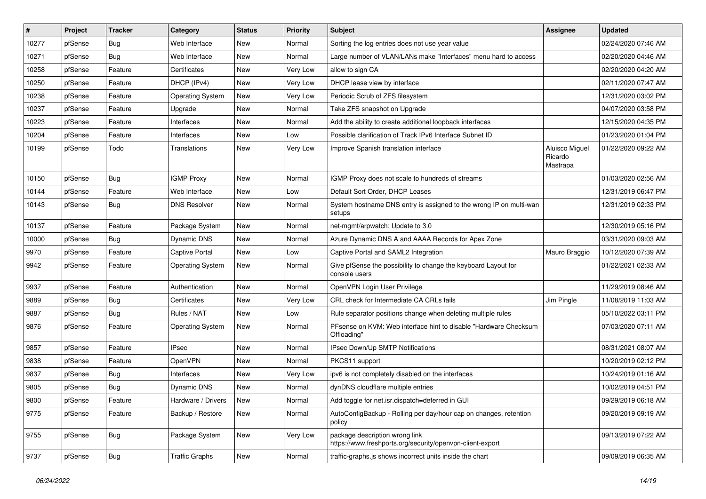| #     | Project | <b>Tracker</b> | Category                | <b>Status</b> | <b>Priority</b> | <b>Subject</b>                                                                              | Assignee                              | <b>Updated</b>      |
|-------|---------|----------------|-------------------------|---------------|-----------------|---------------------------------------------------------------------------------------------|---------------------------------------|---------------------|
| 10277 | pfSense | <b>Bug</b>     | Web Interface           | New           | Normal          | Sorting the log entries does not use year value                                             |                                       | 02/24/2020 07:46 AM |
| 10271 | pfSense | <b>Bug</b>     | Web Interface           | New           | Normal          | Large number of VLAN/LANs make "Interfaces" menu hard to access                             |                                       | 02/20/2020 04:46 AM |
| 10258 | pfSense | Feature        | Certificates            | New           | Very Low        | allow to sign CA                                                                            |                                       | 02/20/2020 04:20 AM |
| 10250 | pfSense | Feature        | DHCP (IPv4)             | New           | Very Low        | DHCP lease view by interface                                                                |                                       | 02/11/2020 07:47 AM |
| 10238 | pfSense | Feature        | <b>Operating System</b> | New           | Very Low        | Periodic Scrub of ZFS filesystem                                                            |                                       | 12/31/2020 03:02 PM |
| 10237 | pfSense | Feature        | Upgrade                 | New           | Normal          | Take ZFS snapshot on Upgrade                                                                |                                       | 04/07/2020 03:58 PM |
| 10223 | pfSense | Feature        | Interfaces              | New           | Normal          | Add the ability to create additional loopback interfaces                                    |                                       | 12/15/2020 04:35 PM |
| 10204 | pfSense | Feature        | Interfaces              | New           | Low             | Possible clarification of Track IPv6 Interface Subnet ID                                    |                                       | 01/23/2020 01:04 PM |
| 10199 | pfSense | Todo           | Translations            | New           | Very Low        | Improve Spanish translation interface                                                       | Aluisco Miguel<br>Ricardo<br>Mastrapa | 01/22/2020 09:22 AM |
| 10150 | pfSense | <b>Bug</b>     | <b>IGMP Proxy</b>       | New           | Normal          | IGMP Proxy does not scale to hundreds of streams                                            |                                       | 01/03/2020 02:56 AM |
| 10144 | pfSense | Feature        | Web Interface           | New           | Low             | Default Sort Order, DHCP Leases                                                             |                                       | 12/31/2019 06:47 PM |
| 10143 | pfSense | <b>Bug</b>     | <b>DNS Resolver</b>     | New           | Normal          | System hostname DNS entry is assigned to the wrong IP on multi-wan<br>setups                |                                       | 12/31/2019 02:33 PM |
| 10137 | pfSense | Feature        | Package System          | <b>New</b>    | Normal          | net-mgmt/arpwatch: Update to 3.0                                                            |                                       | 12/30/2019 05:16 PM |
| 10000 | pfSense | <b>Bug</b>     | Dynamic DNS             | New           | Normal          | Azure Dynamic DNS A and AAAA Records for Apex Zone                                          |                                       | 03/31/2020 09:03 AM |
| 9970  | pfSense | Feature        | <b>Captive Portal</b>   | New           | Low             | Captive Portal and SAML2 Integration                                                        | Mauro Braggio                         | 10/12/2020 07:39 AM |
| 9942  | pfSense | Feature        | <b>Operating System</b> | New           | Normal          | Give pfSense the possibility to change the keyboard Layout for<br>console users             |                                       | 01/22/2021 02:33 AM |
| 9937  | pfSense | Feature        | Authentication          | New           | Normal          | OpenVPN Login User Privilege                                                                |                                       | 11/29/2019 08:46 AM |
| 9889  | pfSense | <b>Bug</b>     | Certificates            | New           | Very Low        | CRL check for Intermediate CA CRLs fails                                                    | Jim Pingle                            | 11/08/2019 11:03 AM |
| 9887  | pfSense | <b>Bug</b>     | Rules / NAT             | New           | Low             | Rule separator positions change when deleting multiple rules                                |                                       | 05/10/2022 03:11 PM |
| 9876  | pfSense | Feature        | <b>Operating System</b> | New           | Normal          | PFsense on KVM: Web interface hint to disable "Hardware Checksum<br>Offloading"             |                                       | 07/03/2020 07:11 AM |
| 9857  | pfSense | Feature        | <b>IPsec</b>            | <b>New</b>    | Normal          | IPsec Down/Up SMTP Notifications                                                            |                                       | 08/31/2021 08:07 AM |
| 9838  | pfSense | Feature        | OpenVPN                 | New           | Normal          | PKCS11 support                                                                              |                                       | 10/20/2019 02:12 PM |
| 9837  | pfSense | Bug            | Interfaces              | New           | Very Low        | ipv6 is not completely disabled on the interfaces                                           |                                       | 10/24/2019 01:16 AM |
| 9805  | pfSense | Bug            | Dynamic DNS             | New           | Normal          | dynDNS cloudflare multiple entries                                                          |                                       | 10/02/2019 04:51 PM |
| 9800  | pfSense | Feature        | Hardware / Drivers      | New           | Normal          | Add toggle for net.isr.dispatch=deferred in GUI                                             |                                       | 09/29/2019 06:18 AM |
| 9775  | pfSense | Feature        | Backup / Restore        | New           | Normal          | AutoConfigBackup - Rolling per day/hour cap on changes, retention<br>policy                 |                                       | 09/20/2019 09:19 AM |
| 9755  | pfSense | <b>Bug</b>     | Package System          | New           | Very Low        | package description wrong link<br>https://www.freshports.org/security/openvpn-client-export |                                       | 09/13/2019 07:22 AM |
| 9737  | pfSense | <b>Bug</b>     | <b>Traffic Graphs</b>   | New           | Normal          | traffic-graphs.js shows incorrect units inside the chart                                    |                                       | 09/09/2019 06:35 AM |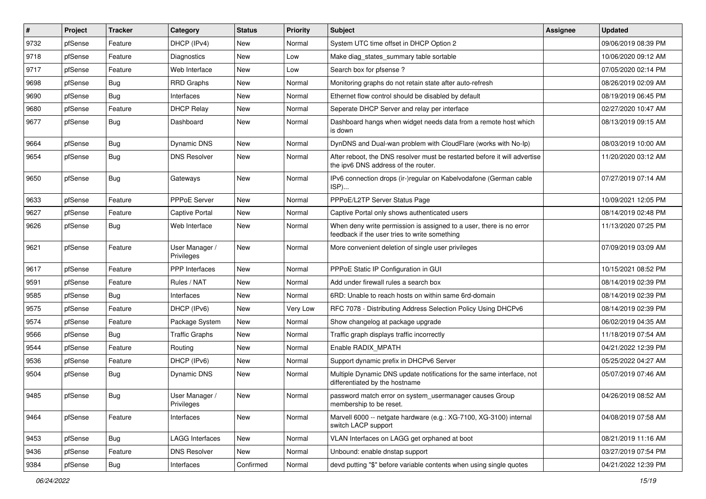| $\vert$ # | Project | <b>Tracker</b> | Category                     | <b>Status</b> | <b>Priority</b> | <b>Subject</b>                                                                                                       | Assignee | <b>Updated</b>      |
|-----------|---------|----------------|------------------------------|---------------|-----------------|----------------------------------------------------------------------------------------------------------------------|----------|---------------------|
| 9732      | pfSense | Feature        | DHCP (IPv4)                  | New           | Normal          | System UTC time offset in DHCP Option 2                                                                              |          | 09/06/2019 08:39 PM |
| 9718      | pfSense | Feature        | Diagnostics                  | New           | Low             | Make diag_states_summary table sortable                                                                              |          | 10/06/2020 09:12 AM |
| 9717      | pfSense | Feature        | Web Interface                | New           | Low             | Search box for pfsense?                                                                                              |          | 07/05/2020 02:14 PM |
| 9698      | pfSense | <b>Bug</b>     | <b>RRD Graphs</b>            | New           | Normal          | Monitoring graphs do not retain state after auto-refresh                                                             |          | 08/26/2019 02:09 AM |
| 9690      | pfSense | <b>Bug</b>     | Interfaces                   | <b>New</b>    | Normal          | Ethernet flow control should be disabled by default                                                                  |          | 08/19/2019 06:45 PM |
| 9680      | pfSense | Feature        | <b>DHCP Relay</b>            | New           | Normal          | Seperate DHCP Server and relay per interface                                                                         |          | 02/27/2020 10:47 AM |
| 9677      | pfSense | <b>Bug</b>     | Dashboard                    | New           | Normal          | Dashboard hangs when widget needs data from a remote host which<br>is down                                           |          | 08/13/2019 09:15 AM |
| 9664      | pfSense | Bug            | Dynamic DNS                  | New           | Normal          | DynDNS and Dual-wan problem with CloudFlare (works with No-Ip)                                                       |          | 08/03/2019 10:00 AM |
| 9654      | pfSense | <b>Bug</b>     | <b>DNS Resolver</b>          | <b>New</b>    | Normal          | After reboot, the DNS resolver must be restarted before it will advertise<br>the ipv6 DNS address of the router.     |          | 11/20/2020 03:12 AM |
| 9650      | pfSense | <b>Bug</b>     | Gateways                     | <b>New</b>    | Normal          | IPv6 connection drops (ir-)regular on Kabelvodafone (German cable<br>ISP)                                            |          | 07/27/2019 07:14 AM |
| 9633      | pfSense | Feature        | <b>PPPoE Server</b>          | <b>New</b>    | Normal          | PPPoE/L2TP Server Status Page                                                                                        |          | 10/09/2021 12:05 PM |
| 9627      | pfSense | Feature        | <b>Captive Portal</b>        | New           | Normal          | Captive Portal only shows authenticated users                                                                        |          | 08/14/2019 02:48 PM |
| 9626      | pfSense | <b>Bug</b>     | Web Interface                | New           | Normal          | When deny write permission is assigned to a user, there is no error<br>feedback if the user tries to write something |          | 11/13/2020 07:25 PM |
| 9621      | pfSense | Feature        | User Manager /<br>Privileges | New           | Normal          | More convenient deletion of single user privileges                                                                   |          | 07/09/2019 03:09 AM |
| 9617      | pfSense | Feature        | PPP Interfaces               | <b>New</b>    | Normal          | PPPoE Static IP Configuration in GUI                                                                                 |          | 10/15/2021 08:52 PM |
| 9591      | pfSense | Feature        | Rules / NAT                  | New           | Normal          | Add under firewall rules a search box                                                                                |          | 08/14/2019 02:39 PM |
| 9585      | pfSense | <b>Bug</b>     | Interfaces                   | New           | Normal          | 6RD: Unable to reach hosts on within same 6rd-domain                                                                 |          | 08/14/2019 02:39 PM |
| 9575      | pfSense | Feature        | DHCP (IPv6)                  | New           | Very Low        | RFC 7078 - Distributing Address Selection Policy Using DHCPv6                                                        |          | 08/14/2019 02:39 PM |
| 9574      | pfSense | Feature        | Package System               | New           | Normal          | Show changelog at package upgrade                                                                                    |          | 06/02/2019 04:35 AM |
| 9566      | pfSense | <b>Bug</b>     | <b>Traffic Graphs</b>        | New           | Normal          | Traffic graph displays traffic incorrectly                                                                           |          | 11/18/2019 07:54 AM |
| 9544      | pfSense | Feature        | Routing                      | <b>New</b>    | Normal          | Enable RADIX_MPATH                                                                                                   |          | 04/21/2022 12:39 PM |
| 9536      | pfSense | Feature        | DHCP (IPv6)                  | New           | Normal          | Support dynamic prefix in DHCPv6 Server                                                                              |          | 05/25/2022 04:27 AM |
| 9504      | pfSense | <b>Bug</b>     | Dynamic DNS                  | New           | Normal          | Multiple Dynamic DNS update notifications for the same interface, not<br>differentiated by the hostname              |          | 05/07/2019 07:46 AM |
| 9485      | pfSense | Bug            | User Manager /<br>Privileges | New           | Normal          | password match error on system_usermanager causes Group<br>membership to be reset.                                   |          | 04/26/2019 08:52 AM |
| 9464      | pfSense | Feature        | Interfaces                   | New           | Normal          | Marvell 6000 -- netgate hardware (e.g.: XG-7100, XG-3100) internal<br>switch LACP support                            |          | 04/08/2019 07:58 AM |
| 9453      | pfSense | <b>Bug</b>     | <b>LAGG Interfaces</b>       | New           | Normal          | VLAN Interfaces on LAGG get orphaned at boot                                                                         |          | 08/21/2019 11:16 AM |
| 9436      | pfSense | Feature        | <b>DNS Resolver</b>          | New           | Normal          | Unbound: enable dnstap support                                                                                       |          | 03/27/2019 07:54 PM |
| 9384      | pfSense | Bug            | Interfaces                   | Confirmed     | Normal          | devd putting "\$" before variable contents when using single quotes                                                  |          | 04/21/2022 12:39 PM |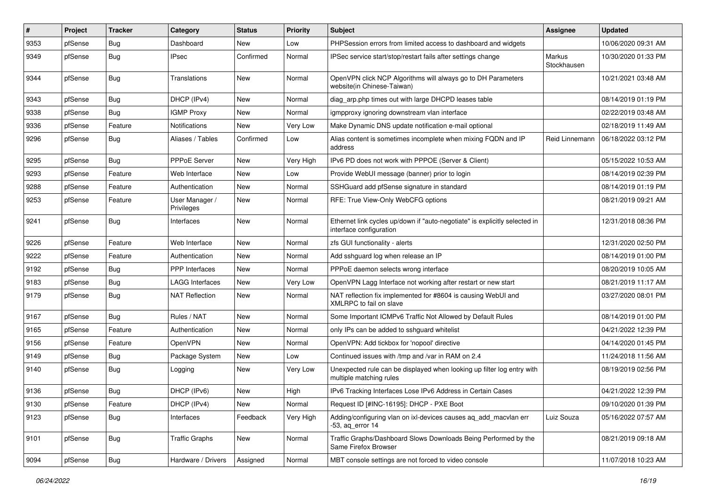| #    | Project | <b>Tracker</b> | Category                     | <b>Status</b> | <b>Priority</b> | <b>Subject</b>                                                                                        | Assignee              | <b>Updated</b>      |
|------|---------|----------------|------------------------------|---------------|-----------------|-------------------------------------------------------------------------------------------------------|-----------------------|---------------------|
| 9353 | pfSense | <b>Bug</b>     | Dashboard                    | New           | Low             | PHPSession errors from limited access to dashboard and widgets                                        |                       | 10/06/2020 09:31 AM |
| 9349 | pfSense | <b>Bug</b>     | <b>IPsec</b>                 | Confirmed     | Normal          | IPSec service start/stop/restart fails after settings change                                          | Markus<br>Stockhausen | 10/30/2020 01:33 PM |
| 9344 | pfSense | <b>Bug</b>     | Translations                 | New           | Normal          | OpenVPN click NCP Algorithms will always go to DH Parameters<br>website(in Chinese-Taiwan)            |                       | 10/21/2021 03:48 AM |
| 9343 | pfSense | Bug            | DHCP (IPv4)                  | New           | Normal          | diag arp.php times out with large DHCPD leases table                                                  |                       | 08/14/2019 01:19 PM |
| 9338 | pfSense | <b>Bug</b>     | <b>IGMP Proxy</b>            | New           | Normal          | igmpproxy ignoring downstream vlan interface                                                          |                       | 02/22/2019 03:48 AM |
| 9336 | pfSense | Feature        | Notifications                | New           | Very Low        | Make Dynamic DNS update notification e-mail optional                                                  |                       | 02/18/2019 11:49 AM |
| 9296 | pfSense | <b>Bug</b>     | Aliases / Tables             | Confirmed     | Low             | Alias content is sometimes incomplete when mixing FQDN and IP<br>address                              | Reid Linnemann        | 06/18/2022 03:12 PM |
| 9295 | pfSense | Bug            | PPPoE Server                 | New           | Very High       | IPv6 PD does not work with PPPOE (Server & Client)                                                    |                       | 05/15/2022 10:53 AM |
| 9293 | pfSense | Feature        | Web Interface                | New           | Low             | Provide WebUI message (banner) prior to login                                                         |                       | 08/14/2019 02:39 PM |
| 9288 | pfSense | Feature        | Authentication               | New           | Normal          | SSHGuard add pfSense signature in standard                                                            |                       | 08/14/2019 01:19 PM |
| 9253 | pfSense | Feature        | User Manager /<br>Privileges | New           | Normal          | RFE: True View-Only WebCFG options                                                                    |                       | 08/21/2019 09:21 AM |
| 9241 | pfSense | <b>Bug</b>     | Interfaces                   | New           | Normal          | Ethernet link cycles up/down if "auto-negotiate" is explicitly selected in<br>interface configuration |                       | 12/31/2018 08:36 PM |
| 9226 | pfSense | Feature        | Web Interface                | New           | Normal          | zfs GUI functionality - alerts                                                                        |                       | 12/31/2020 02:50 PM |
| 9222 | pfSense | Feature        | Authentication               | <b>New</b>    | Normal          | Add sshguard log when release an IP                                                                   |                       | 08/14/2019 01:00 PM |
| 9192 | pfSense | <b>Bug</b>     | PPP Interfaces               | New           | Normal          | PPPoE daemon selects wrong interface                                                                  |                       | 08/20/2019 10:05 AM |
| 9183 | pfSense | Bug            | <b>LAGG Interfaces</b>       | New           | Very Low        | OpenVPN Lagg Interface not working after restart or new start                                         |                       | 08/21/2019 11:17 AM |
| 9179 | pfSense | <b>Bug</b>     | <b>NAT Reflection</b>        | New           | Normal          | NAT reflection fix implemented for #8604 is causing WebUI and<br>XMLRPC to fail on slave              |                       | 03/27/2020 08:01 PM |
| 9167 | pfSense | <b>Bug</b>     | Rules / NAT                  | <b>New</b>    | Normal          | Some Important ICMPv6 Traffic Not Allowed by Default Rules                                            |                       | 08/14/2019 01:00 PM |
| 9165 | pfSense | Feature        | Authentication               | New           | Normal          | only IPs can be added to sshguard whitelist                                                           |                       | 04/21/2022 12:39 PM |
| 9156 | pfSense | Feature        | OpenVPN                      | New           | Normal          | OpenVPN: Add tickbox for 'nopool' directive                                                           |                       | 04/14/2020 01:45 PM |
| 9149 | pfSense | <b>Bug</b>     | Package System               | New           | Low             | Continued issues with /tmp and /var in RAM on 2.4                                                     |                       | 11/24/2018 11:56 AM |
| 9140 | pfSense | <b>Bug</b>     | Logging                      | New           | Very Low        | Unexpected rule can be displayed when looking up filter log entry with<br>multiple matching rules     |                       | 08/19/2019 02:56 PM |
| 9136 | pfSense | Bug            | DHCP (IPv6)                  | New           | High            | IPv6 Tracking Interfaces Lose IPv6 Address in Certain Cases                                           |                       | 04/21/2022 12:39 PM |
| 9130 | pfSense | Feature        | DHCP (IPv4)                  | New           | Normal          | Request ID [#INC-16195]: DHCP - PXE Boot                                                              |                       | 09/10/2020 01:39 PM |
| 9123 | pfSense | Bug            | Interfaces                   | Feedback      | Very High       | Adding/configuring vlan on ixl-devices causes ag add macvlan err<br>$-53$ , ag error 14               | Luiz Souza            | 05/16/2022 07:57 AM |
| 9101 | pfSense | <b>Bug</b>     | <b>Traffic Graphs</b>        | New           | Normal          | Traffic Graphs/Dashboard Slows Downloads Being Performed by the<br>Same Firefox Browser               |                       | 08/21/2019 09:18 AM |
| 9094 | pfSense | <b>Bug</b>     | Hardware / Drivers           | Assigned      | Normal          | MBT console settings are not forced to video console                                                  |                       | 11/07/2018 10:23 AM |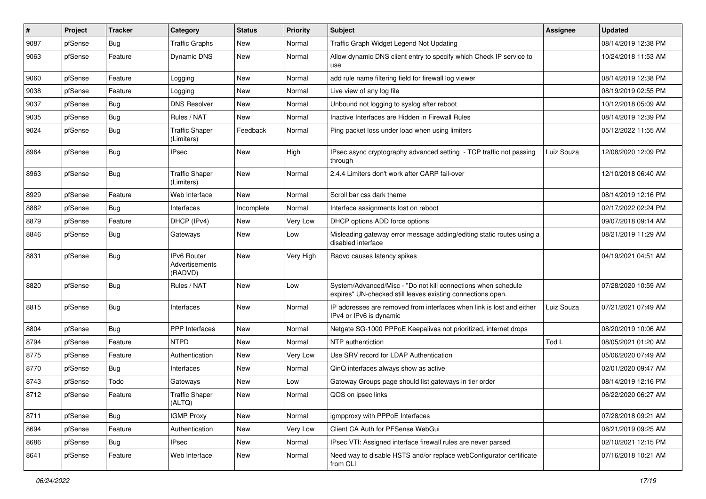| #    | Project | <b>Tracker</b> | Category                                        | <b>Status</b> | <b>Priority</b> | <b>Subject</b>                                                                                                               | <b>Assignee</b> | <b>Updated</b>      |
|------|---------|----------------|-------------------------------------------------|---------------|-----------------|------------------------------------------------------------------------------------------------------------------------------|-----------------|---------------------|
| 9087 | pfSense | <b>Bug</b>     | <b>Traffic Graphs</b>                           | New           | Normal          | Traffic Graph Widget Legend Not Updating                                                                                     |                 | 08/14/2019 12:38 PM |
| 9063 | pfSense | Feature        | Dynamic DNS                                     | New           | Normal          | Allow dynamic DNS client entry to specify which Check IP service to<br>use                                                   |                 | 10/24/2018 11:53 AM |
| 9060 | pfSense | Feature        | Logging                                         | <b>New</b>    | Normal          | add rule name filtering field for firewall log viewer                                                                        |                 | 08/14/2019 12:38 PM |
| 9038 | pfSense | Feature        | Logging                                         | <b>New</b>    | Normal          | Live view of any log file                                                                                                    |                 | 08/19/2019 02:55 PM |
| 9037 | pfSense | <b>Bug</b>     | <b>DNS Resolver</b>                             | <b>New</b>    | Normal          | Unbound not logging to syslog after reboot                                                                                   |                 | 10/12/2018 05:09 AM |
| 9035 | pfSense | Bug            | Rules / NAT                                     | New           | Normal          | Inactive Interfaces are Hidden in Firewall Rules                                                                             |                 | 08/14/2019 12:39 PM |
| 9024 | pfSense | <b>Bug</b>     | <b>Traffic Shaper</b><br>(Limiters)             | Feedback      | Normal          | Ping packet loss under load when using limiters                                                                              |                 | 05/12/2022 11:55 AM |
| 8964 | pfSense | <b>Bug</b>     | <b>IPsec</b>                                    | New           | High            | IPsec async cryptography advanced setting - TCP traffic not passing<br>through                                               | Luiz Souza      | 12/08/2020 12:09 PM |
| 8963 | pfSense | <b>Bug</b>     | <b>Traffic Shaper</b><br>(Limiters)             | New           | Normal          | 2.4.4 Limiters don't work after CARP fail-over                                                                               |                 | 12/10/2018 06:40 AM |
| 8929 | pfSense | Feature        | Web Interface                                   | New           | Normal          | Scroll bar css dark theme                                                                                                    |                 | 08/14/2019 12:16 PM |
| 8882 | pfSense | <b>Bug</b>     | Interfaces                                      | Incomplete    | Normal          | Interface assignments lost on reboot                                                                                         |                 | 02/17/2022 02:24 PM |
| 8879 | pfSense | Feature        | DHCP (IPv4)                                     | <b>New</b>    | Very Low        | DHCP options ADD force options                                                                                               |                 | 09/07/2018 09:14 AM |
| 8846 | pfSense | <b>Bug</b>     | Gateways                                        | New           | Low             | Misleading gateway error message adding/editing static routes using a<br>disabled interface                                  |                 | 08/21/2019 11:29 AM |
| 8831 | pfSense | <b>Bug</b>     | <b>IPv6 Router</b><br>Advertisements<br>(RADVD) | New           | Very High       | Radvd causes latency spikes                                                                                                  |                 | 04/19/2021 04:51 AM |
| 8820 | pfSense | Bug            | Rules / NAT                                     | New           | Low             | System/Advanced/Misc - "Do not kill connections when schedule<br>expires" UN-checked still leaves existing connections open. |                 | 07/28/2020 10:59 AM |
| 8815 | pfSense | Bug            | Interfaces                                      | New           | Normal          | IP addresses are removed from interfaces when link is lost and either<br>IPv4 or IPv6 is dynamic                             | Luiz Souza      | 07/21/2021 07:49 AM |
| 8804 | pfSense | Bug            | PPP Interfaces                                  | <b>New</b>    | Normal          | Netgate SG-1000 PPPoE Keepalives not prioritized, internet drops                                                             |                 | 08/20/2019 10:06 AM |
| 8794 | pfSense | Feature        | <b>NTPD</b>                                     | <b>New</b>    | Normal          | NTP authentiction                                                                                                            | Tod L           | 08/05/2021 01:20 AM |
| 8775 | pfSense | Feature        | Authentication                                  | New           | Very Low        | Use SRV record for LDAP Authentication                                                                                       |                 | 05/06/2020 07:49 AM |
| 8770 | pfSense | <b>Bug</b>     | Interfaces                                      | <b>New</b>    | Normal          | QinQ interfaces always show as active                                                                                        |                 | 02/01/2020 09:47 AM |
| 8743 | pfSense | Todo           | Gateways                                        | New           | Low             | Gateway Groups page should list gateways in tier order                                                                       |                 | 08/14/2019 12:16 PM |
| 8712 | pfSense | Feature        | <b>Traffic Shaper</b><br>(ALTQ)                 | New           | Normal          | QOS on ipsec links                                                                                                           |                 | 06/22/2020 06:27 AM |
| 8711 | pfSense | <b>Bug</b>     | <b>IGMP Proxy</b>                               | New           | Normal          | igmpproxy with PPPoE Interfaces                                                                                              |                 | 07/28/2018 09:21 AM |
| 8694 | pfSense | Feature        | Authentication                                  | New           | Very Low        | Client CA Auth for PFSense WebGui                                                                                            |                 | 08/21/2019 09:25 AM |
| 8686 | pfSense | <b>Bug</b>     | <b>IPsec</b>                                    | New           | Normal          | IPsec VTI: Assigned interface firewall rules are never parsed                                                                |                 | 02/10/2021 12:15 PM |
| 8641 | pfSense | Feature        | Web Interface                                   | New           | Normal          | Need way to disable HSTS and/or replace webConfigurator certificate<br>from CLI                                              |                 | 07/16/2018 10:21 AM |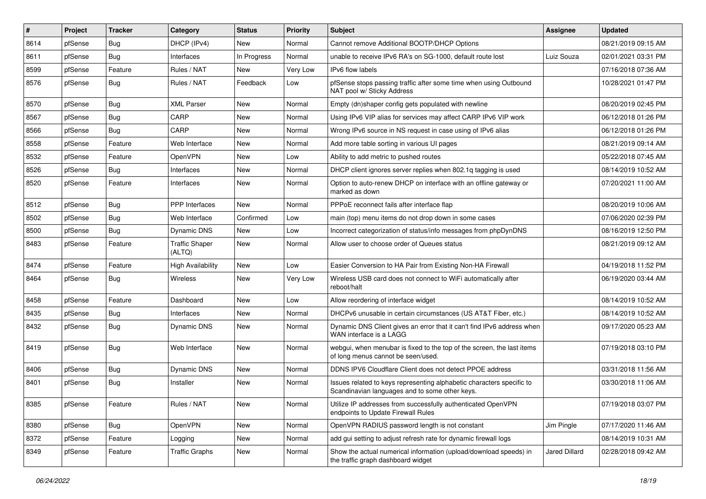| #    | Project | <b>Tracker</b> | Category                        | <b>Status</b> | Priority | <b>Subject</b>                                                                                                          | <b>Assignee</b> | <b>Updated</b>      |
|------|---------|----------------|---------------------------------|---------------|----------|-------------------------------------------------------------------------------------------------------------------------|-----------------|---------------------|
| 8614 | pfSense | Bug            | DHCP (IPv4)                     | New           | Normal   | Cannot remove Additional BOOTP/DHCP Options                                                                             |                 | 08/21/2019 09:15 AM |
| 8611 | pfSense | <b>Bug</b>     | Interfaces                      | In Progress   | Normal   | unable to receive IPv6 RA's on SG-1000, default route lost                                                              | Luiz Souza      | 02/01/2021 03:31 PM |
| 8599 | pfSense | Feature        | Rules / NAT                     | New           | Very Low | IPv6 flow labels                                                                                                        |                 | 07/16/2018 07:36 AM |
| 8576 | pfSense | <b>Bug</b>     | Rules / NAT                     | Feedback      | Low      | pfSense stops passing traffic after some time when using Outbound<br>NAT pool w/ Sticky Address                         |                 | 10/28/2021 01:47 PM |
| 8570 | pfSense | <b>Bug</b>     | <b>XML Parser</b>               | <b>New</b>    | Normal   | Empty (dn)shaper config gets populated with newline                                                                     |                 | 08/20/2019 02:45 PM |
| 8567 | pfSense | <b>Bug</b>     | CARP                            | New           | Normal   | Using IPv6 VIP alias for services may affect CARP IPv6 VIP work                                                         |                 | 06/12/2018 01:26 PM |
| 8566 | pfSense | <b>Bug</b>     | CARP                            | <b>New</b>    | Normal   | Wrong IPv6 source in NS request in case using of IPv6 alias                                                             |                 | 06/12/2018 01:26 PM |
| 8558 | pfSense | Feature        | Web Interface                   | New           | Normal   | Add more table sorting in various UI pages                                                                              |                 | 08/21/2019 09:14 AM |
| 8532 | pfSense | Feature        | OpenVPN                         | <b>New</b>    | Low      | Ability to add metric to pushed routes                                                                                  |                 | 05/22/2018 07:45 AM |
| 8526 | pfSense | <b>Bug</b>     | Interfaces                      | New           | Normal   | DHCP client ignores server replies when 802.1q tagging is used                                                          |                 | 08/14/2019 10:52 AM |
| 8520 | pfSense | Feature        | Interfaces                      | New           | Normal   | Option to auto-renew DHCP on interface with an offline gateway or<br>marked as down                                     |                 | 07/20/2021 11:00 AM |
| 8512 | pfSense | <b>Bug</b>     | <b>PPP</b> Interfaces           | <b>New</b>    | Normal   | PPPoE reconnect fails after interface flap                                                                              |                 | 08/20/2019 10:06 AM |
| 8502 | pfSense | Bug            | Web Interface                   | Confirmed     | Low      | main (top) menu items do not drop down in some cases                                                                    |                 | 07/06/2020 02:39 PM |
| 8500 | pfSense | <b>Bug</b>     | Dynamic DNS                     | New           | Low      | Incorrect categorization of status/info messages from phpDynDNS                                                         |                 | 08/16/2019 12:50 PM |
| 8483 | pfSense | Feature        | <b>Traffic Shaper</b><br>(ALTQ) | New           | Normal   | Allow user to choose order of Queues status                                                                             |                 | 08/21/2019 09:12 AM |
| 8474 | pfSense | Feature        | <b>High Availability</b>        | New           | Low      | Easier Conversion to HA Pair from Existing Non-HA Firewall                                                              |                 | 04/19/2018 11:52 PM |
| 8464 | pfSense | Bug            | Wireless                        | New           | Very Low | Wireless USB card does not connect to WiFi automatically after<br>reboot/halt                                           |                 | 06/19/2020 03:44 AM |
| 8458 | pfSense | Feature        | Dashboard                       | New           | Low      | Allow reordering of interface widget                                                                                    |                 | 08/14/2019 10:52 AM |
| 8435 | pfSense | <b>Bug</b>     | Interfaces                      | New           | Normal   | DHCPv6 unusable in certain circumstances (US AT&T Fiber, etc.)                                                          |                 | 08/14/2019 10:52 AM |
| 8432 | pfSense | <b>Bug</b>     | Dynamic DNS                     | <b>New</b>    | Normal   | Dynamic DNS Client gives an error that it can't find IPv6 address when<br>WAN interface is a LAGG                       |                 | 09/17/2020 05:23 AM |
| 8419 | pfSense | <b>Bug</b>     | Web Interface                   | <b>New</b>    | Normal   | webgui, when menubar is fixed to the top of the screen, the last items<br>of long menus cannot be seen/used.            |                 | 07/19/2018 03:10 PM |
| 8406 | pfSense | <b>Bug</b>     | Dynamic DNS                     | New           | Normal   | DDNS IPV6 Cloudflare Client does not detect PPOE address                                                                |                 | 03/31/2018 11:56 AM |
| 8401 | pfSense | <b>Bug</b>     | Installer                       | New           | Normal   | Issues related to keys representing alphabetic characters specific to<br>Scandinavian languages and to some other keys. |                 | 03/30/2018 11:06 AM |
| 8385 | pfSense | Feature        | Rules / NAT                     | New           | Normal   | Utilize IP addresses from successfully authenticated OpenVPN<br>endpoints to Update Firewall Rules                      |                 | 07/19/2018 03:07 PM |
| 8380 | pfSense | Bug            | OpenVPN                         | New           | Normal   | OpenVPN RADIUS password length is not constant                                                                          | Jim Pingle      | 07/17/2020 11:46 AM |
| 8372 | pfSense | Feature        | Logging                         | New           | Normal   | add gui setting to adjust refresh rate for dynamic firewall logs                                                        |                 | 08/14/2019 10:31 AM |
| 8349 | pfSense | Feature        | <b>Traffic Graphs</b>           | New           | Normal   | Show the actual numerical information (upload/download speeds) in<br>the traffic graph dashboard widget                 | Jared Dillard   | 02/28/2018 09:42 AM |